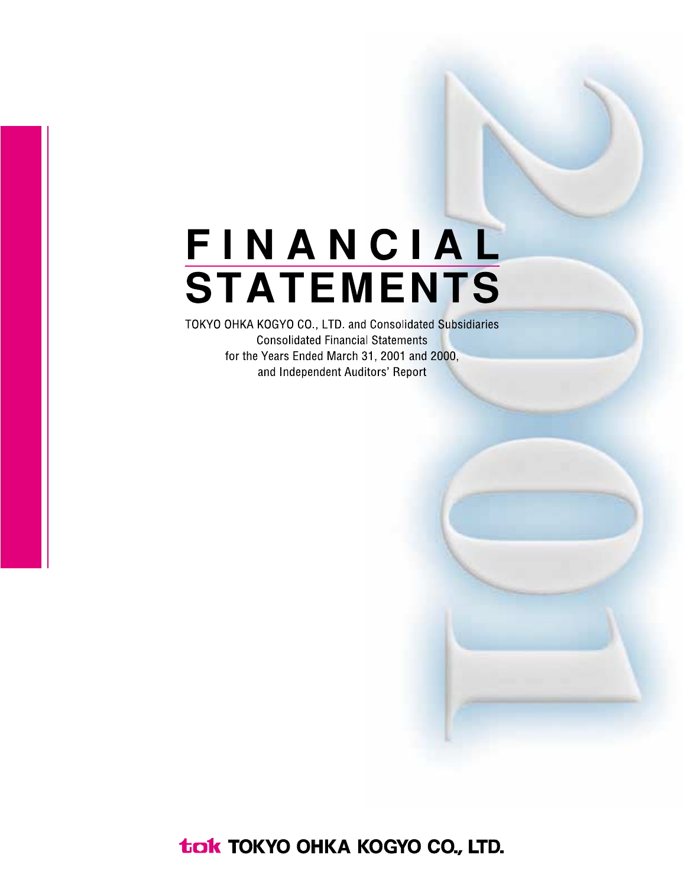## FINANCIAL **STATEMENTS**

TOKYO OHKA KOGYO CO., LTD. and Consolidated Subsidiaries **Consolidated Financial Statements** for the Years Ended March 31, 2001 and 2000, and Independent Auditors' Report

tak TOKYO OHKA KOGYO CO., LTD.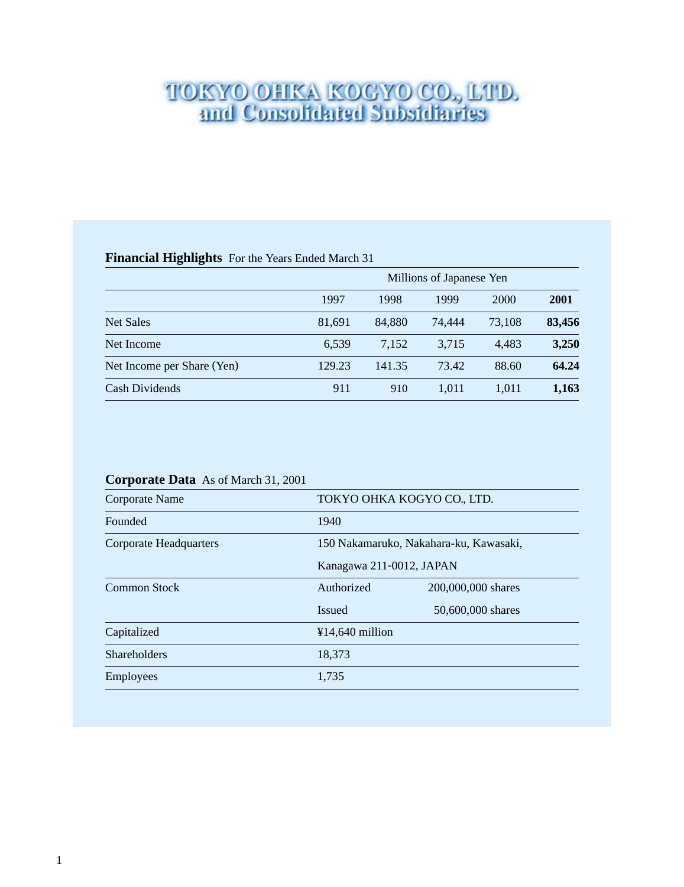# **TOKYO OHKA KOGYO CO., LTD.**<br>and Consolidated Subsidiaries

#### **Financial Highlights** For the Years Ended March 31

|                            |        | Millions of Japanese Yen |        |        |        |  |  |  |  |  |  |
|----------------------------|--------|--------------------------|--------|--------|--------|--|--|--|--|--|--|
|                            | 1997   | 1998                     | 1999   | 2000   | 2001   |  |  |  |  |  |  |
| <b>Net Sales</b>           | 81,691 | 84.880                   | 74,444 | 73,108 | 83,456 |  |  |  |  |  |  |
| Net Income                 | 6,539  | 7,152                    | 3,715  | 4.483  | 3,250  |  |  |  |  |  |  |
| Net Income per Share (Yen) | 129.23 | 141.35                   | 73.42  | 88.60  | 64.24  |  |  |  |  |  |  |
| Cash Dividends             | 911    | 910                      | 1.011  | 1.011  | 1,163  |  |  |  |  |  |  |

### **Corporate Data** As of March 31, 2001

| Corporate Name                | TOKYO OHKA KOGYO CO., LTD.             |                    |  |  |  |  |  |
|-------------------------------|----------------------------------------|--------------------|--|--|--|--|--|
| Founded                       | 1940                                   |                    |  |  |  |  |  |
| <b>Corporate Headquarters</b> | 150 Nakamaruko, Nakahara-ku, Kawasaki, |                    |  |  |  |  |  |
|                               | Kanagawa 211-0012, JAPAN               |                    |  |  |  |  |  |
| Common Stock                  | Authorized                             | 200,000,000 shares |  |  |  |  |  |
|                               | <b>Issued</b>                          | 50,600,000 shares  |  |  |  |  |  |
| Capitalized                   | ¥14,640 million                        |                    |  |  |  |  |  |
| Shareholders                  | 18,373                                 |                    |  |  |  |  |  |
| Employees                     | 1,735                                  |                    |  |  |  |  |  |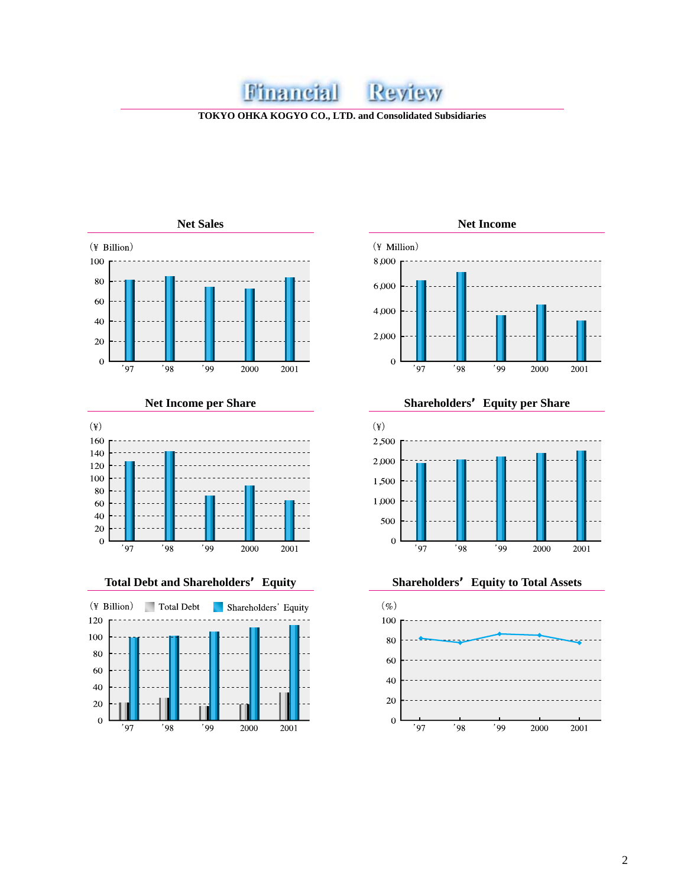#### Financial Review

**TOKYO OHKA KOGYO CO., LTD. and Consolidated Subsidiaries**









**Net Income per Share Shareholders'Equity per Share**





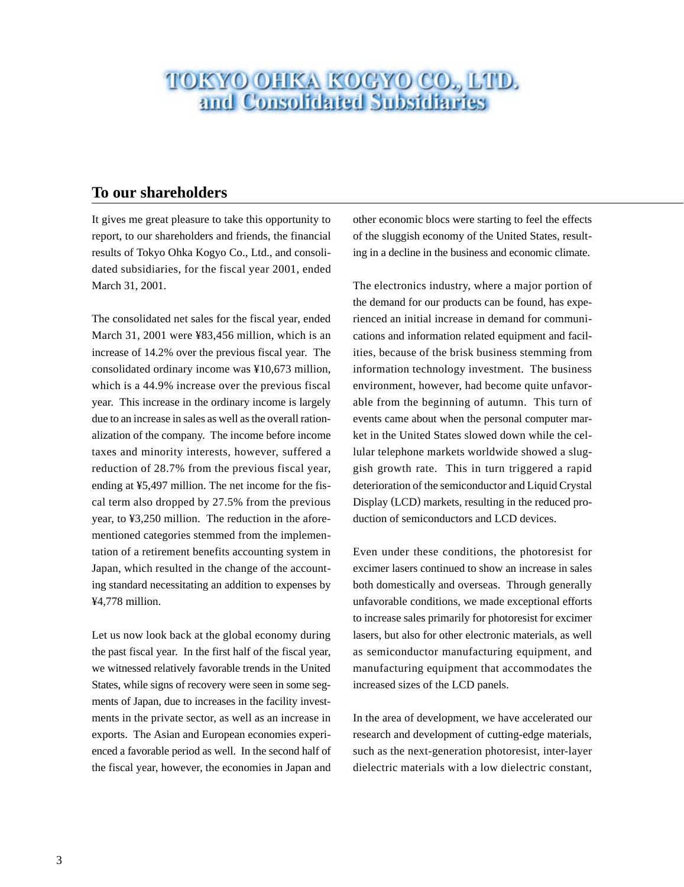## **TOKYO OHKA KOGYO CO., LTD.**<br>and Consolidated Subsidiaries

#### **To our shareholders**

It gives me great pleasure to take this opportunity to report, to our shareholders and friends, the financial results of Tokyo Ohka Kogyo Co., Ltd., and consolidated subsidiaries, for the fiscal year 2001, ended March 31, 2001.

The consolidated net sales for the fiscal year, ended March 31, 2001 were ¥83,456 million, which is an increase of 14.2% over the previous fiscal year. The consolidated ordinary income was ¥10,673 million, which is a 44.9% increase over the previous fiscal year. This increase in the ordinary income is largely due to an increase in sales as well as the overall rationalization of the company. The income before income taxes and minority interests, however, suffered a reduction of 28.7% from the previous fiscal year, ending at ¥5,497 million. The net income for the fiscal term also dropped by 27.5% from the previous year, to ¥3,250 million. The reduction in the aforementioned categories stemmed from the implementation of a retirement benefits accounting system in Japan, which resulted in the change of the accounting standard necessitating an addition to expenses by ¥4,778 million.

Let us now look back at the global economy during the past fiscal year. In the first half of the fiscal year, we witnessed relatively favorable trends in the United States, while signs of recovery were seen in some segments of Japan, due to increases in the facility investments in the private sector, as well as an increase in exports. The Asian and European economies experienced a favorable period as well. In the second half of the fiscal year, however, the economies in Japan and other economic blocs were starting to feel the effects of the sluggish economy of the United States, resulting in a decline in the business and economic climate.

The electronics industry, where a major portion of the demand for our products can be found, has experienced an initial increase in demand for communications and information related equipment and facilities, because of the brisk business stemming from information technology investment. The business environment, however, had become quite unfavorable from the beginning of autumn. This turn of events came about when the personal computer market in the United States slowed down while the cellular telephone markets worldwide showed a sluggish growth rate. This in turn triggered a rapid deterioration of the semiconductor and Liquid Crystal Display (LCD) markets, resulting in the reduced production of semiconductors and LCD devices.

Even under these conditions, the photoresist for excimer lasers continued to show an increase in sales both domestically and overseas. Through generally unfavorable conditions, we made exceptional efforts to increase sales primarily for photoresist for excimer lasers, but also for other electronic materials, as well as semiconductor manufacturing equipment, and manufacturing equipment that accommodates the increased sizes of the LCD panels.

In the area of development, we have accelerated our research and development of cutting-edge materials, such as the next-generation photoresist, inter-layer dielectric materials with a low dielectric constant,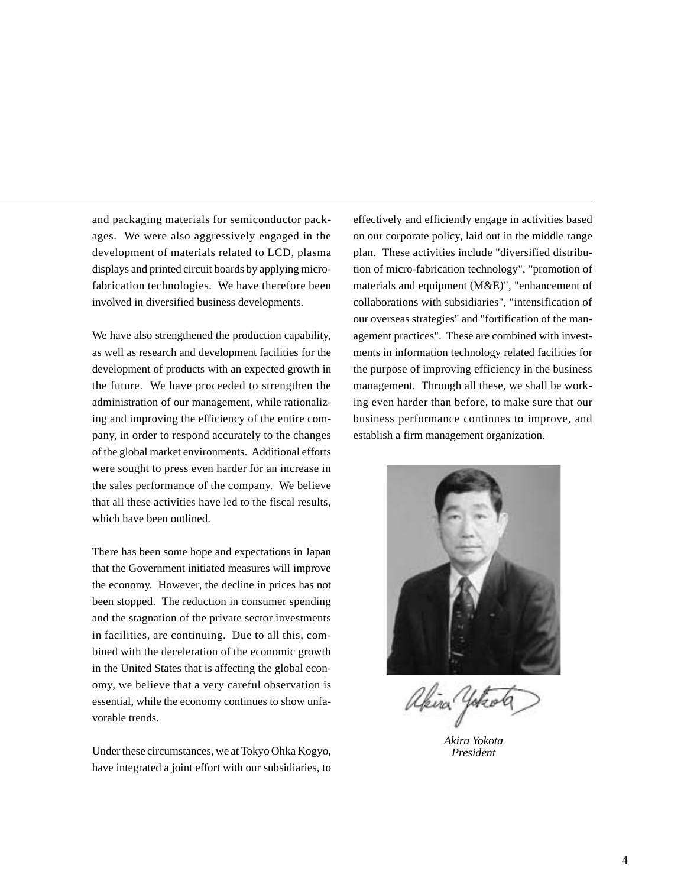and packaging materials for semiconductor packages. We were also aggressively engaged in the development of materials related to LCD, plasma displays and printed circuit boards by applying microfabrication technologies. We have therefore been involved in diversified business developments.

We have also strengthened the production capability, as well as research and development facilities for the development of products with an expected growth in the future. We have proceeded to strengthen the administration of our management, while rationalizing and improving the efficiency of the entire company, in order to respond accurately to the changes of the global market environments. Additional efforts were sought to press even harder for an increase in the sales performance of the company. We believe that all these activities have led to the fiscal results, which have been outlined.

There has been some hope and expectations in Japan that the Government initiated measures will improve the economy. However, the decline in prices has not been stopped. The reduction in consumer spending and the stagnation of the private sector investments in facilities, are continuing. Due to all this, combined with the deceleration of the economic growth in the United States that is affecting the global economy, we believe that a very careful observation is essential, while the economy continues to show unfavorable trends.

Under these circumstances, we at Tokyo Ohka Kogyo, have integrated a joint effort with our subsidiaries, to effectively and efficiently engage in activities based on our corporate policy, laid out in the middle range plan. These activities include "diversified distribution of micro-fabrication technology", "promotion of materials and equipment (M&E)", "enhancement of collaborations with subsidiaries", "intensification of our overseas strategies" and "fortification of the management practices". These are combined with investments in information technology related facilities for the purpose of improving efficiency in the business management. Through all these, we shall be working even harder than before, to make sure that our business performance continues to improve, and establish a firm management organization.



akira 4

*Akira Yokota President*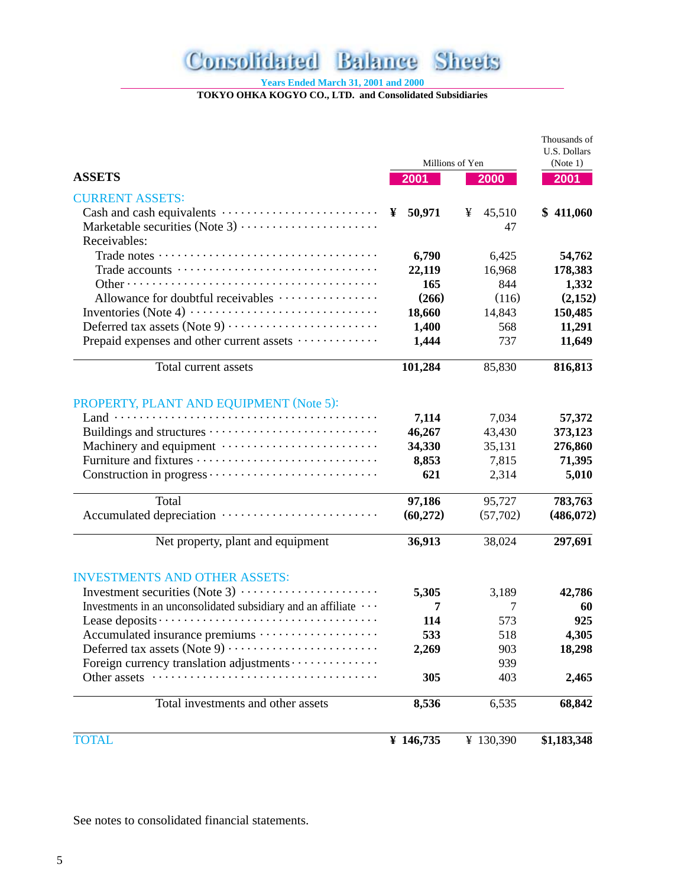#### **Consolidated Balance Sheets**

**Years Ended March 31, 2001 and 2000**

**TOKYO OHKA KOGYO CO., LTD. and Consolidated Subsidiaries**

|                                                                  |             |                 | Thousands of<br>U.S. Dollars |  |  |  |
|------------------------------------------------------------------|-------------|-----------------|------------------------------|--|--|--|
|                                                                  |             | Millions of Yen | (Note 1)                     |  |  |  |
| <b>ASSETS</b>                                                    | 2001        | 2000            | 2001                         |  |  |  |
| <b>CURRENT ASSETS:</b>                                           |             |                 |                              |  |  |  |
|                                                                  | ¥<br>50,971 | 45,510<br>¥     | \$411,060                    |  |  |  |
|                                                                  |             | 47              |                              |  |  |  |
| Receivables:                                                     |             |                 |                              |  |  |  |
|                                                                  | 6,790       | 6,425           | 54,762                       |  |  |  |
|                                                                  | 22,119      | 16,968          | 178,383                      |  |  |  |
|                                                                  | 165         | 844             | 1,332                        |  |  |  |
| Allowance for doubtful receivables                               | (266)       | (116)           | (2,152)                      |  |  |  |
|                                                                  | 18,660      | 14,843          | 150,485                      |  |  |  |
|                                                                  | 1,400       | 568             | 11,291                       |  |  |  |
| Prepaid expenses and other current assets                        | 1,444       | 737             | 11,649                       |  |  |  |
| Total current assets                                             | 101,284     | 85,830          | 816,813                      |  |  |  |
| PROPERTY, PLANT AND EQUIPMENT (Note 5):                          |             |                 |                              |  |  |  |
|                                                                  | 7,114       | 7,034           | 57,372                       |  |  |  |
|                                                                  | 46,267      | 43,430          | 373,123                      |  |  |  |
|                                                                  | 34,330      | 35,131          | 276,860                      |  |  |  |
|                                                                  | 8,853       | 7,815           | 71,395                       |  |  |  |
|                                                                  | 621         | 2,314           | 5,010                        |  |  |  |
| Total                                                            | 97,186      | 95,727          | 783,763                      |  |  |  |
|                                                                  | (60,272)    | (57,702)        | (486,072)                    |  |  |  |
| Net property, plant and equipment                                | 36,913      | 38,024          | 297,691                      |  |  |  |
| <b>INVESTMENTS AND OTHER ASSETS:</b>                             |             |                 |                              |  |  |  |
|                                                                  | 5,305       | 3,189           | 42,786                       |  |  |  |
| Investments in an unconsolidated subsidiary and an affiliate ··· | 7           | 7               | 60                           |  |  |  |
|                                                                  | 114         | 573             | 925                          |  |  |  |
| Accumulated insurance premiums                                   | 533         | 518             | 4,305                        |  |  |  |
|                                                                  | 2,269       | 903             | 18,298                       |  |  |  |
| Foreign currency translation adjustments                         |             | 939             |                              |  |  |  |
| Other assets                                                     | 305         | 403             | 2,465                        |  |  |  |
| Total investments and other assets                               | 8,536       | 6,535           | 68,842                       |  |  |  |
| <b>TOTAL</b>                                                     | ¥ 146,735   | ¥ 130,390       | \$1,183,348                  |  |  |  |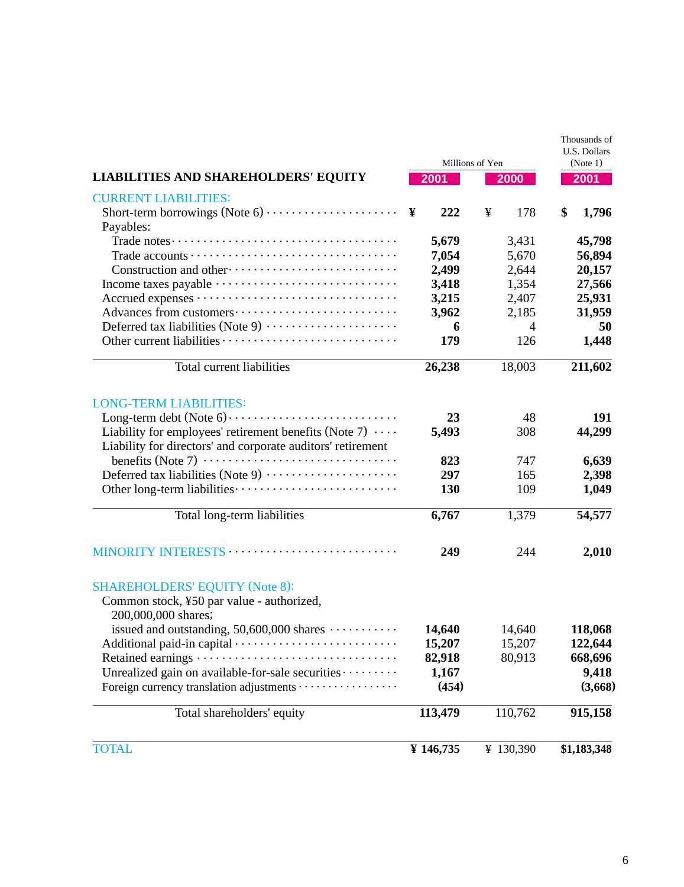|                                                                                                                               |           | Millions of Yen | Thousands of<br><b>U.S. Dollars</b><br>(Note 1) |  |  |
|-------------------------------------------------------------------------------------------------------------------------------|-----------|-----------------|-------------------------------------------------|--|--|
| <b>LIABILITIES AND SHAREHOLDERS' EQUITY</b>                                                                                   | 2001      | 2000            | 2001                                            |  |  |
| <b>CURRENT LIABILITIES:</b>                                                                                                   |           |                 |                                                 |  |  |
| Payables:                                                                                                                     | ¥<br>222  | 178<br>¥        | \$<br>1,796                                     |  |  |
|                                                                                                                               | 5,679     | 3,431           | 45,798                                          |  |  |
|                                                                                                                               | 7,054     | 5,670           | 56,894                                          |  |  |
|                                                                                                                               | 2,499     | 2,644           | 20,157                                          |  |  |
|                                                                                                                               | 3,418     | 1,354           | 27,566                                          |  |  |
|                                                                                                                               | 3,215     | 2,407           | 25,931                                          |  |  |
|                                                                                                                               | 3,962     | 2,185           | 31,959                                          |  |  |
| Deferred tax liabilities (Note 9)                                                                                             | 6         | $\overline{4}$  | 50                                              |  |  |
|                                                                                                                               | 179       | 126             | 1,448                                           |  |  |
| Total current liabilities                                                                                                     | 26,238    | 18,003          | 211,602                                         |  |  |
| <b>LONG-TERM LIABILITIES:</b>                                                                                                 |           |                 |                                                 |  |  |
|                                                                                                                               | 23        | 48              | 191                                             |  |  |
| Liability for employees' retirement benefits (Note 7) $\cdots$<br>Liability for directors' and corporate auditors' retirement | 5,493     | 308             | 44,299                                          |  |  |
|                                                                                                                               | 823       | 747             | 6,639                                           |  |  |
| Deferred tax liabilities (Note 9)                                                                                             | 297       | 165             | 2,398                                           |  |  |
|                                                                                                                               | 130       | 109             | 1,049                                           |  |  |
| Total long-term liabilities                                                                                                   | 6,767     | 1,379           | 54,577                                          |  |  |
| MINORITY INTERESTS                                                                                                            | 249       | 244             | 2,010                                           |  |  |
| <b>SHAREHOLDERS' EQUITY (Note 8):</b>                                                                                         |           |                 |                                                 |  |  |
| Common stock, ¥50 par value - authorized,<br>200,000,000 shares;                                                              |           |                 |                                                 |  |  |
| issued and outstanding, $50,600,000$ shares $\cdots$                                                                          | 14,640    | 14,640          | 118,068                                         |  |  |
| Additional paid-in capital ································                                                                   | 15,207    | 15,207          | 122,644                                         |  |  |
| Retained earnings ·                                                                                                           | 82,918    | 80,913          | 668,696                                         |  |  |
| Unrealized gain on available-for-sale securities                                                                              | 1,167     |                 | 9,418                                           |  |  |
| Foreign currency translation adjustments                                                                                      | (454)     |                 | (3,668)                                         |  |  |
| Total shareholders' equity                                                                                                    | 113,479   | 110,762         | 915,158                                         |  |  |
| <b>TOTAL</b>                                                                                                                  | ¥ 146,735 | ¥ 130,390       | \$1,183,348                                     |  |  |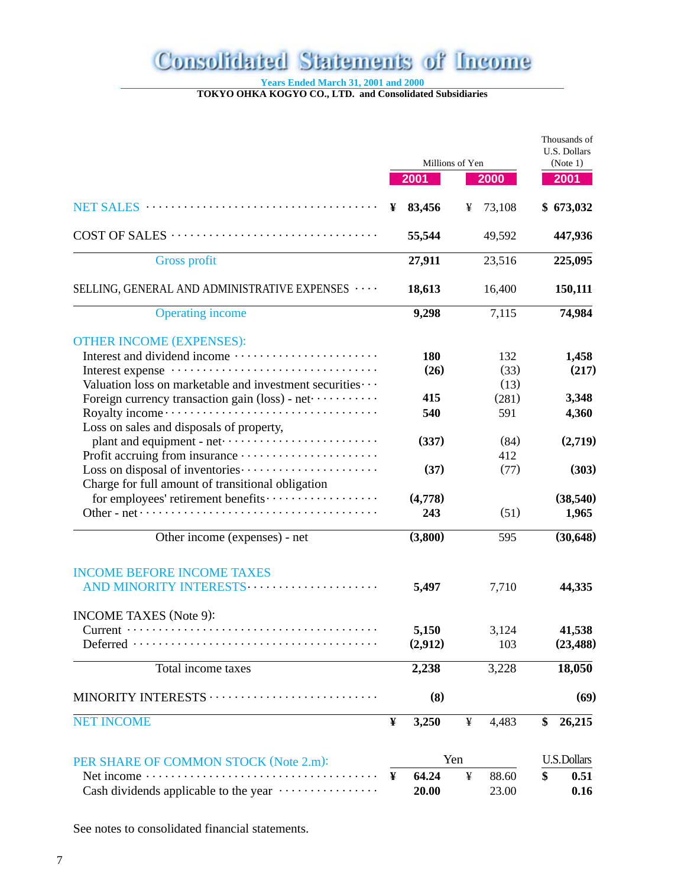## **Consolidated Statements of Income**

**Years Ended March 31, 2001 and 2000**

**TOKYO OHKA KOGYO CO., LTD. and Consolidated Subsidiaries**

|                                                              |   |                 |     |        | Thousands of<br><b>U.S. Dollars</b> |
|--------------------------------------------------------------|---|-----------------|-----|--------|-------------------------------------|
|                                                              |   | Millions of Yen |     |        | (Note 1)                            |
|                                                              |   | 2001            |     | 2000   | 2001                                |
|                                                              | ¥ | 83,456          | ¥   | 73,108 | \$673,032                           |
|                                                              |   | 55,544          |     | 49,592 | 447,936                             |
| <b>Gross profit</b>                                          |   | 27,911          |     | 23,516 | 225,095                             |
| SELLING, GENERAL AND ADMINISTRATIVE EXPENSES                 |   | 18,613          |     | 16,400 | 150,111                             |
| <b>Operating income</b>                                      |   | 9,298           |     | 7,115  | 74,984                              |
| <b>OTHER INCOME (EXPENSES):</b>                              |   |                 |     |        |                                     |
|                                                              |   | 180             |     | 132    | 1,458                               |
|                                                              |   | (26)            |     | (33)   | (217)                               |
| Valuation loss on marketable and investment securities · · · |   |                 |     | (13)   |                                     |
| Foreign currency transaction gain (loss) - net               |   | 415             |     | (281)  | 3,348                               |
| Loss on sales and disposals of property,                     |   | 540             |     | 591    | 4,360                               |
| plant and equipment - net ·······························    |   | (337)           |     | (84)   | (2,719)                             |
|                                                              |   |                 |     | 412    |                                     |
|                                                              |   | (37)            |     | (77)   | (303)                               |
|                                                              |   |                 |     |        |                                     |
| Charge for full amount of transitional obligation            |   |                 |     |        |                                     |
| for employees' retirement benefits                           |   | (4,778)         |     |        | (38, 540)                           |
|                                                              |   | 243             |     | (51)   | 1,965                               |
| Other income (expenses) - net                                |   | (3,800)         |     | 595    | (30,648)                            |
| <b>INCOME BEFORE INCOME TAXES</b>                            |   |                 |     |        |                                     |
| AND MINORITY INTERESTS                                       |   | 5,497           |     | 7,710  | 44,335                              |
| <b>INCOME TAXES</b> (Note 9):                                |   |                 |     |        |                                     |
|                                                              |   | 5,150           |     | 3,124  | 41,538                              |
|                                                              |   | (2,912)         |     | 103    | (23, 488)                           |
| Total income taxes                                           |   | 2,238           |     | 3,228  | 18,050                              |
| MINORITY INTERESTS                                           |   | (8)             |     |        | (69)                                |
| <b>NET INCOME</b>                                            | ¥ | 3,250           | ¥   | 4,483  | \$<br>26,215                        |
| PER SHARE OF COMMON STOCK (Note 2.m):                        |   |                 | Yen |        | <b>U.S.Dollars</b>                  |
| Net income · ·                                               | ¥ | 64.24           | ¥   | 88.60  | \$<br>0.51                          |
| Cash dividends applicable to the year                        |   | 20.00           |     | 23.00  | 0.16                                |
|                                                              |   |                 |     |        |                                     |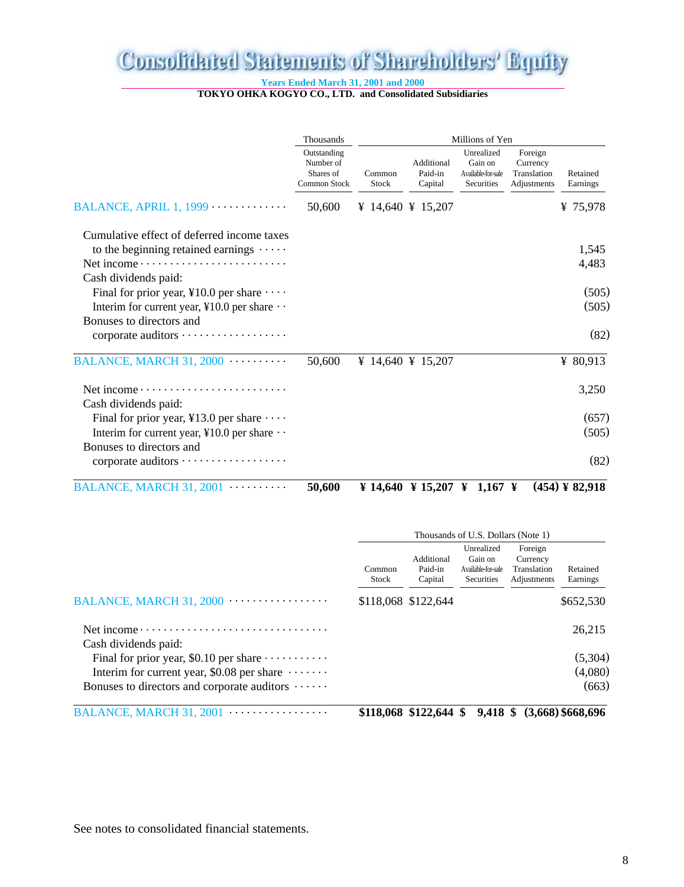## Consolidated Statements of Shareholders' Equity

**Years Ended March 31, 2001 and 2000**

**TOKYO OHKA KOGYO CO., LTD. and Consolidated Subsidiaries**

|                                                                                                                                                                                   | Thousands                                                    | Millions of Yen |                                  |                                                           |                                                   |                                                         |  |  |
|-----------------------------------------------------------------------------------------------------------------------------------------------------------------------------------|--------------------------------------------------------------|-----------------|----------------------------------|-----------------------------------------------------------|---------------------------------------------------|---------------------------------------------------------|--|--|
|                                                                                                                                                                                   | Outstanding<br>Number of<br>Shares of<br><b>Common Stock</b> | Common<br>Stock | Additional<br>Paid-in<br>Capital | Unrealized<br>Gain on<br>Available-for-sale<br>Securities | Foreign<br>Currency<br>Translation<br>Adjustments | Retained<br>Earnings                                    |  |  |
| BALANCE, APRIL 1, $1999$                                                                                                                                                          | 50,600                                                       |                 | ¥ 14,640 ¥ 15,207                |                                                           |                                                   | ¥ $75,978$                                              |  |  |
| Cumulative effect of deferred income taxes<br>to the beginning retained earnings $\cdots$<br>Net income $\dots \dots \dots \dots \dots \dots \dots \dots$<br>Cash dividends paid: |                                                              |                 |                                  |                                                           |                                                   | 1,545<br>4,483                                          |  |  |
| Final for prior year, ¥10.0 per share $\cdots$<br>Interim for current year, ¥10.0 per share $\cdot \cdot$                                                                         |                                                              |                 |                                  |                                                           |                                                   | (505)<br>(505)                                          |  |  |
| Bonuses to directors and<br>corporate auditors                                                                                                                                    |                                                              |                 |                                  |                                                           |                                                   | (82)                                                    |  |  |
| BALANCE, MARCH 31, 2000                                                                                                                                                           | 50,600                                                       |                 | ¥ 14,640 ¥ 15,207                |                                                           |                                                   | ¥ $80,913$                                              |  |  |
| Net income<br>Cash dividends paid:                                                                                                                                                |                                                              |                 |                                  |                                                           |                                                   | 3,250                                                   |  |  |
| Final for prior year, ¥13.0 per share $\cdots$                                                                                                                                    |                                                              |                 |                                  |                                                           |                                                   | (657)                                                   |  |  |
| Interim for current year, ¥10.0 per share $\cdot \cdot$<br>Bonuses to directors and                                                                                               |                                                              |                 |                                  |                                                           |                                                   | (505)                                                   |  |  |
| corporate auditors                                                                                                                                                                |                                                              |                 |                                  |                                                           |                                                   | (82)                                                    |  |  |
|                                                                                                                                                                                   |                                                              |                 |                                  |                                                           |                                                   | $\ell$ $\ell$ $\sim$ $\ell$ $\sim$ $\ell$ $\sim$ $\ell$ |  |  |

BALANCE, MARCH 31, 2001 .......... **50,600 ¥ 14,640 ¥ 15,207 ¥ 1,167 ¥ (454) ¥ 82,918**

|                                                                                       | Thousands of U.S. Dollars (Note 1) |                                                       |                                                                  |                                                   |                      |  |  |  |
|---------------------------------------------------------------------------------------|------------------------------------|-------------------------------------------------------|------------------------------------------------------------------|---------------------------------------------------|----------------------|--|--|--|
|                                                                                       | Common<br><b>Stock</b>             | Additional<br>Paid-in<br>Capital                      | Unrealized<br>Gain on<br>Available-for-sale<br><b>Securities</b> | Foreign<br>Currency<br>Translation<br>Adjustments | Retained<br>Earnings |  |  |  |
| BALANCE, MARCH 31, 2000 $\cdots$                                                      |                                    | \$118,068 \$122,644                                   |                                                                  |                                                   | \$652,530            |  |  |  |
|                                                                                       |                                    |                                                       |                                                                  |                                                   | 26,215               |  |  |  |
| Cash dividends paid:<br>Final for prior year, \$0.10 per share $\cdots \cdots \cdots$ |                                    |                                                       |                                                                  |                                                   | (5,304)              |  |  |  |
| Interim for current year, \$0.08 per share $\dots \dots$                              |                                    |                                                       |                                                                  |                                                   | (4,080)              |  |  |  |
| Bonuses to directors and corporate auditors $\cdots \cdots$                           |                                    |                                                       |                                                                  |                                                   | (663)                |  |  |  |
|                                                                                       |                                    | د من مدت 4 \مدت م/ له منه ما له مه ما مونه مدت له مدت |                                                                  |                                                   |                      |  |  |  |

BALANCE, MARCH 31, 2001 ................. **\$118,068 \$122,644 \$ 9,418 \$ (3,668) \$668,696**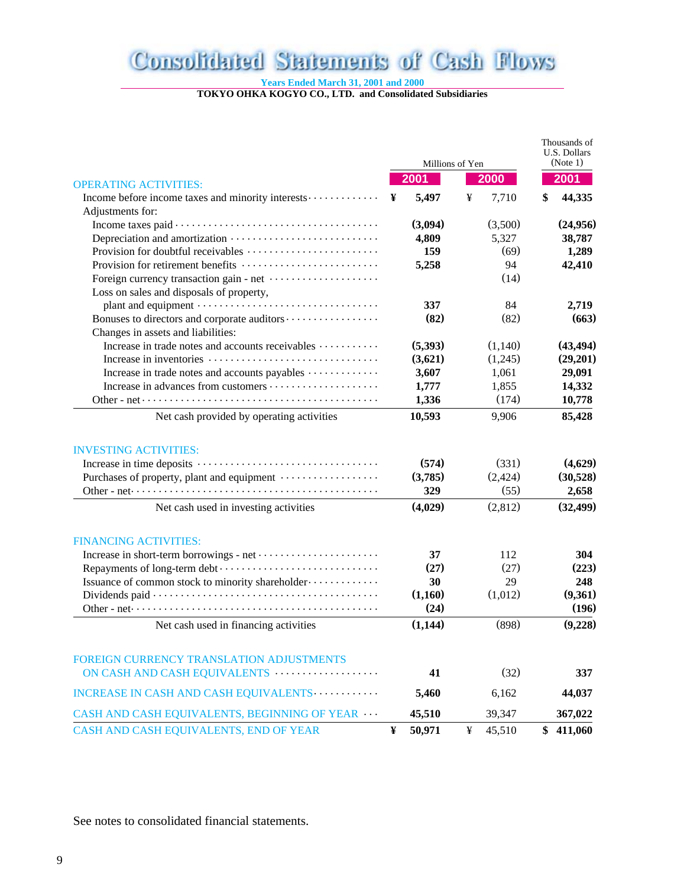### Consolidated Statements of Cash Flows

**Years Ended March 31, 2001 and 2000**

**TOKYO OHKA KOGYO CO., LTD. and Consolidated Subsidiaries**

|                                                                                                               |   | Millions of Yen |   |         | Thousands of<br>U.S. Dollars<br>(Note 1) |           |
|---------------------------------------------------------------------------------------------------------------|---|-----------------|---|---------|------------------------------------------|-----------|
| <b>OPERATING ACTIVITIES:</b>                                                                                  |   | 2001            |   | 2000    |                                          | 2001      |
| Income before income taxes and minority interests                                                             | ¥ | 5,497           | ¥ | 7,710   | \$                                       | 44,335    |
| Adjustments for:                                                                                              |   |                 |   |         |                                          |           |
|                                                                                                               |   | (3,094)         |   | (3,500) |                                          | (24,956)  |
|                                                                                                               |   | 4,809           |   | 5,327   |                                          | 38,787    |
|                                                                                                               |   | 159             |   | (69)    |                                          | 1,289     |
|                                                                                                               |   | 5,258           |   | 94      |                                          | 42,410    |
| Foreign currency transaction gain - net                                                                       |   |                 |   | (14)    |                                          |           |
| Loss on sales and disposals of property,                                                                      |   |                 |   |         |                                          |           |
|                                                                                                               |   | 337             |   | 84      |                                          | 2,719     |
|                                                                                                               |   | (82)            |   | (82)    |                                          | (663)     |
| Changes in assets and liabilities:                                                                            |   |                 |   |         |                                          |           |
| Increase in trade notes and accounts receivables                                                              |   | (5,393)         |   | (1,140) |                                          | (43, 494) |
|                                                                                                               |   | (3,621)         |   | (1,245) |                                          | (29,201)  |
| Increase in trade notes and accounts payables                                                                 |   | 3,607           |   | 1,061   |                                          | 29,091    |
|                                                                                                               |   | 1,777           |   | 1,855   |                                          | 14,332    |
|                                                                                                               |   | 1,336           |   | (174)   |                                          | 10,778    |
| Net cash provided by operating activities                                                                     |   | 10,593          |   | 9,906   |                                          | 85,428    |
| <b>INVESTING ACTIVITIES:</b>                                                                                  |   |                 |   |         |                                          |           |
|                                                                                                               |   | (574)           |   | (331)   |                                          | (4,629)   |
| Purchases of property, plant and equipment                                                                    |   | (3,785)         |   | (2,424) |                                          | (30,528)  |
|                                                                                                               |   | 329             |   | (55)    |                                          | 2,658     |
| Net cash used in investing activities                                                                         |   | (4,029)         |   | (2,812) |                                          | (32, 499) |
| <b>FINANCING ACTIVITIES:</b>                                                                                  |   |                 |   |         |                                          |           |
|                                                                                                               |   | 37              |   | 112     |                                          | 304       |
|                                                                                                               |   | (27)            |   | (27)    |                                          | (223)     |
| Issuance of common stock to minority shareholder                                                              |   | 30              |   | 29      |                                          | 248       |
|                                                                                                               |   | (1,160)         |   | (1,012) |                                          | (9,361)   |
| Other - net $\dots \dots \dots \dots \dots \dots \dots \dots \dots \dots \dots \dots \dots \dots \dots \dots$ |   | (24)            |   |         |                                          | (196)     |
|                                                                                                               |   |                 |   |         |                                          |           |
| Net cash used in financing activities                                                                         |   | (1,144)         |   | (898)   |                                          | (9,228)   |
| <b>FOREIGN CURRENCY TRANSLATION ADJUSTMENTS</b>                                                               |   |                 |   |         |                                          |           |
| ON CASH AND CASH EQUIVALENTS                                                                                  |   | 41              |   | (32)    |                                          | 337       |
| INCREASE IN CASH AND CASH EQUIVALENTS                                                                         |   | 5,460           |   | 6,162   |                                          | 44,037    |
| CASH AND CASH EQUIVALENTS, BEGINNING OF YEAR                                                                  |   | 45,510          |   | 39,347  |                                          | 367,022   |
| CASH AND CASH EQUIVALENTS, END OF YEAR                                                                        | ¥ | 50,971          | ¥ | 45,510  |                                          | \$411,060 |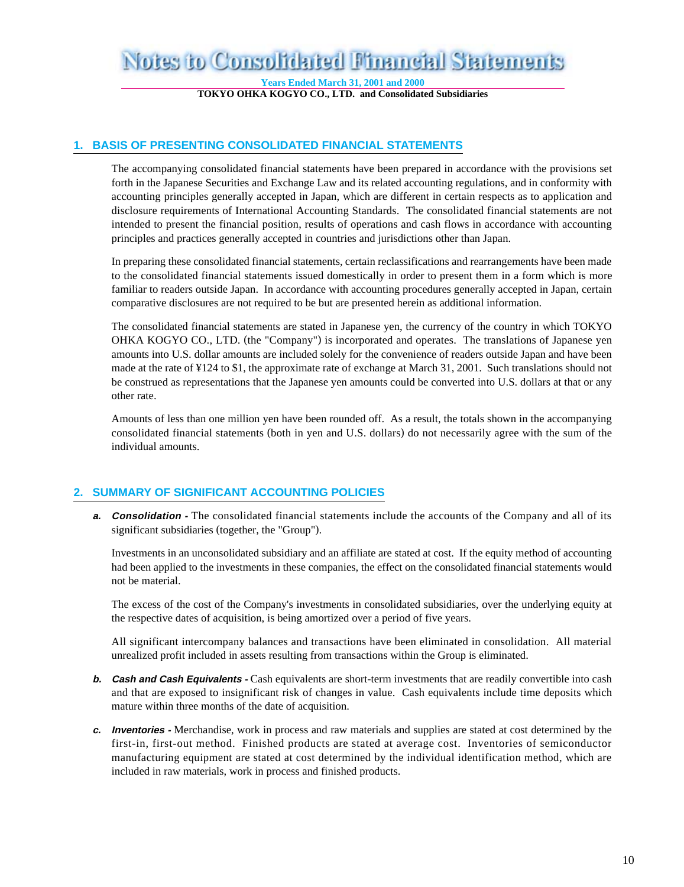### Notes to Consolidated Financial Statements

**Years Ended March 31, 2001 and 2000**

**TOKYO OHKA KOGYO CO., LTD. and Consolidated Subsidiaries**

#### **1. BASIS OF PRESENTING CONSOLIDATED FINANCIAL STATEMENTS**

The accompanying consolidated financial statements have been prepared in accordance with the provisions set forth in the Japanese Securities and Exchange Law and its related accounting regulations, and in conformity with accounting principles generally accepted in Japan, which are different in certain respects as to application and disclosure requirements of International Accounting Standards. The consolidated financial statements are not intended to present the financial position, results of operations and cash flows in accordance with accounting principles and practices generally accepted in countries and jurisdictions other than Japan.

In preparing these consolidated financial statements, certain reclassifications and rearrangements have been made to the consolidated financial statements issued domestically in order to present them in a form which is more familiar to readers outside Japan. In accordance with accounting procedures generally accepted in Japan, certain comparative disclosures are not required to be but are presented herein as additional information.

The consolidated financial statements are stated in Japanese yen, the currency of the country in which TOKYO OHKA KOGYO CO., LTD. (the "Company") is incorporated and operates. The translations of Japanese yen amounts into U.S. dollar amounts are included solely for the convenience of readers outside Japan and have been made at the rate of ¥124 to \$1, the approximate rate of exchange at March 31, 2001. Such translations should not be construed as representations that the Japanese yen amounts could be converted into U.S. dollars at that or any other rate.

Amounts of less than one million yen have been rounded off. As a result, the totals shown in the accompanying consolidated financial statements (both in yen and U.S. dollars) do not necessarily agree with the sum of the individual amounts.

#### **2. SUMMARY OF SIGNIFICANT ACCOUNTING POLICIES**

**a. Consolidation -** The consolidated financial statements include the accounts of the Company and all of its significant subsidiaries (together, the "Group").

Investments in an unconsolidated subsidiary and an affiliate are stated at cost. If the equity method of accounting had been applied to the investments in these companies, the effect on the consolidated financial statements would not be material.

The excess of the cost of the Company's investments in consolidated subsidiaries, over the underlying equity at the respective dates of acquisition, is being amortized over a period of five years.

All significant intercompany balances and transactions have been eliminated in consolidation. All material unrealized profit included in assets resulting from transactions within the Group is eliminated.

- **b. Cash and Cash Equivalents -** Cash equivalents are short-term investments that are readily convertible into cash and that are exposed to insignificant risk of changes in value. Cash equivalents include time deposits which mature within three months of the date of acquisition.
- **c. Inventories** Merchandise, work in process and raw materials and supplies are stated at cost determined by the first-in, first-out method. Finished products are stated at average cost. Inventories of semiconductor manufacturing equipment are stated at cost determined by the individual identification method, which are included in raw materials, work in process and finished products.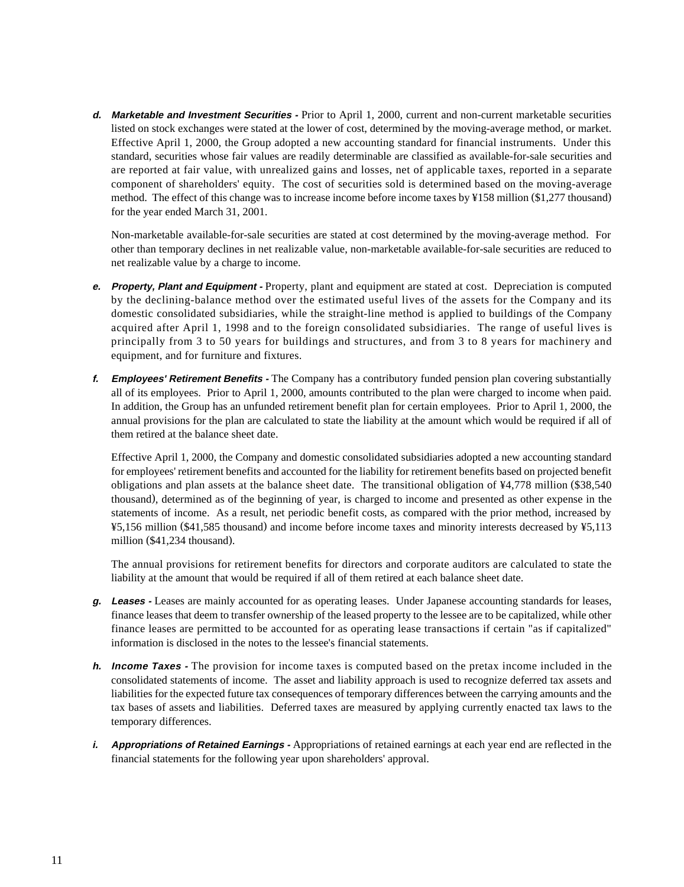**d. Marketable and Investment Securities -** Prior to April 1, 2000, current and non-current marketable securities listed on stock exchanges were stated at the lower of cost, determined by the moving-average method, or market. Effective April 1, 2000, the Group adopted a new accounting standard for financial instruments. Under this standard, securities whose fair values are readily determinable are classified as available-for-sale securities and are reported at fair value, with unrealized gains and losses, net of applicable taxes, reported in a separate component of shareholders' equity. The cost of securities sold is determined based on the moving-average method. The effect of this change was to increase income before income taxes by ¥158 million (\$1,277 thousand) for the year ended March 31, 2001.

Non-marketable available-for-sale securities are stated at cost determined by the moving-average method. For other than temporary declines in net realizable value, non-marketable available-for-sale securities are reduced to net realizable value by a charge to income.

- **e. Property, Plant and Equipment** Property, plant and equipment are stated at cost. Depreciation is computed by the declining-balance method over the estimated useful lives of the assets for the Company and its domestic consolidated subsidiaries, while the straight-line method is applied to buildings of the Company acquired after April 1, 1998 and to the foreign consolidated subsidiaries. The range of useful lives is principally from 3 to 50 years for buildings and structures, and from 3 to 8 years for machinery and equipment, and for furniture and fixtures.
- **f. Employees' Retirement Benefits** The Company has a contributory funded pension plan covering substantially all of its employees. Prior to April 1, 2000, amounts contributed to the plan were charged to income when paid. In addition, the Group has an unfunded retirement benefit plan for certain employees. Prior to April 1, 2000, the annual provisions for the plan are calculated to state the liability at the amount which would be required if all of them retired at the balance sheet date.

Effective April 1, 2000, the Company and domestic consolidated subsidiaries adopted a new accounting standard for employees' retirement benefits and accounted for the liability for retirement benefits based on projected benefit obligations and plan assets at the balance sheet date. The transitional obligation of ¥4,778 million (\$38,540 thousand), determined as of the beginning of year, is charged to income and presented as other expense in the statements of income. As a result, net periodic benefit costs, as compared with the prior method, increased by ¥5,156 million (\$41,585 thousand) and income before income taxes and minority interests decreased by ¥5,113 million (\$41,234 thousand).

The annual provisions for retirement benefits for directors and corporate auditors are calculated to state the liability at the amount that would be required if all of them retired at each balance sheet date.

- **g. Leases** Leases are mainly accounted for as operating leases. Under Japanese accounting standards for leases, finance leases that deem to transfer ownership of the leased property to the lessee are to be capitalized, while other finance leases are permitted to be accounted for as operating lease transactions if certain "as if capitalized" information is disclosed in the notes to the lessee's financial statements.
- **h. Income Taxes** The provision for income taxes is computed based on the pretax income included in the consolidated statements of income. The asset and liability approach is used to recognize deferred tax assets and liabilities for the expected future tax consequences of temporary differences between the carrying amounts and the tax bases of assets and liabilities. Deferred taxes are measured by applying currently enacted tax laws to the temporary differences.
- *i.* **Appropriations of Retained Earnings -** Appropriations of retained earnings at each year end are reflected in the financial statements for the following year upon shareholders' approval.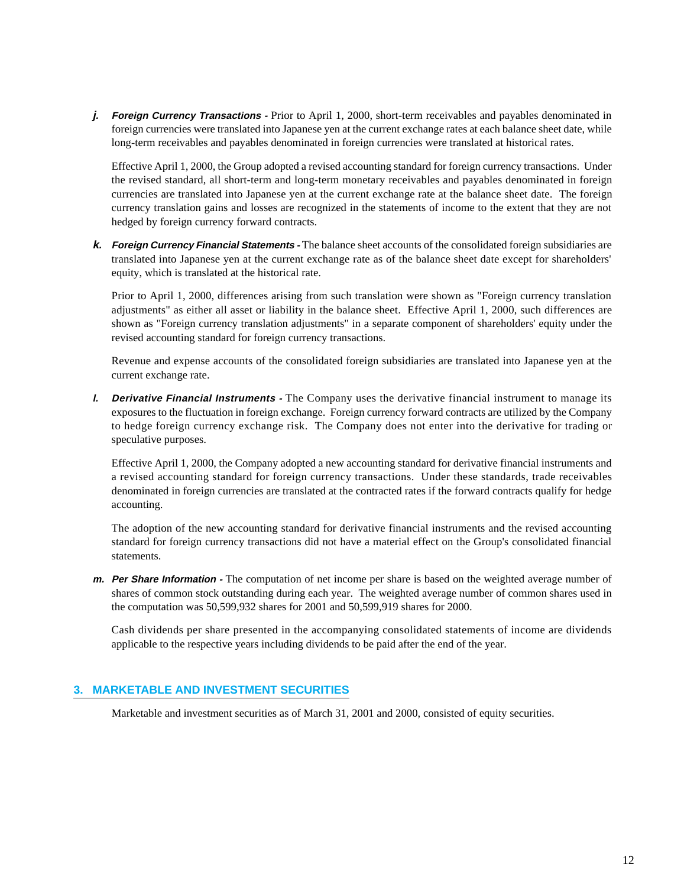**j. Foreign Currency Transactions -** Prior to April 1, 2000, short-term receivables and payables denominated in foreign currencies were translated into Japanese yen at the current exchange rates at each balance sheet date, while long-term receivables and payables denominated in foreign currencies were translated at historical rates.

Effective April 1, 2000, the Group adopted a revised accounting standard for foreign currency transactions. Under the revised standard, all short-term and long-term monetary receivables and payables denominated in foreign currencies are translated into Japanese yen at the current exchange rate at the balance sheet date. The foreign currency translation gains and losses are recognized in the statements of income to the extent that they are not hedged by foreign currency forward contracts.

**k. Foreign Currency Financial Statements -** The balance sheet accounts of the consolidated foreign subsidiaries are translated into Japanese yen at the current exchange rate as of the balance sheet date except for shareholders' equity, which is translated at the historical rate.

Prior to April 1, 2000, differences arising from such translation were shown as "Foreign currency translation adjustments" as either all asset or liability in the balance sheet. Effective April 1, 2000, such differences are shown as "Foreign currency translation adjustments" in a separate component of shareholders' equity under the revised accounting standard for foreign currency transactions.

Revenue and expense accounts of the consolidated foreign subsidiaries are translated into Japanese yen at the current exchange rate.

**l. Derivative Financial Instruments -** The Company uses the derivative financial instrument to manage its exposures to the fluctuation in foreign exchange. Foreign currency forward contracts are utilized by the Company to hedge foreign currency exchange risk. The Company does not enter into the derivative for trading or speculative purposes.

Effective April 1, 2000, the Company adopted a new accounting standard for derivative financial instruments and a revised accounting standard for foreign currency transactions. Under these standards, trade receivables denominated in foreign currencies are translated at the contracted rates if the forward contracts qualify for hedge accounting.

The adoption of the new accounting standard for derivative financial instruments and the revised accounting standard for foreign currency transactions did not have a material effect on the Group's consolidated financial statements.

**m. Per Share Information -** The computation of net income per share is based on the weighted average number of shares of common stock outstanding during each year. The weighted average number of common shares used in the computation was 50,599,932 shares for 2001 and 50,599,919 shares for 2000.

Cash dividends per share presented in the accompanying consolidated statements of income are dividends applicable to the respective years including dividends to be paid after the end of the year.

#### **3. MARKETABLE AND INVESTMENT SECURITIES**

Marketable and investment securities as of March 31, 2001 and 2000, consisted of equity securities.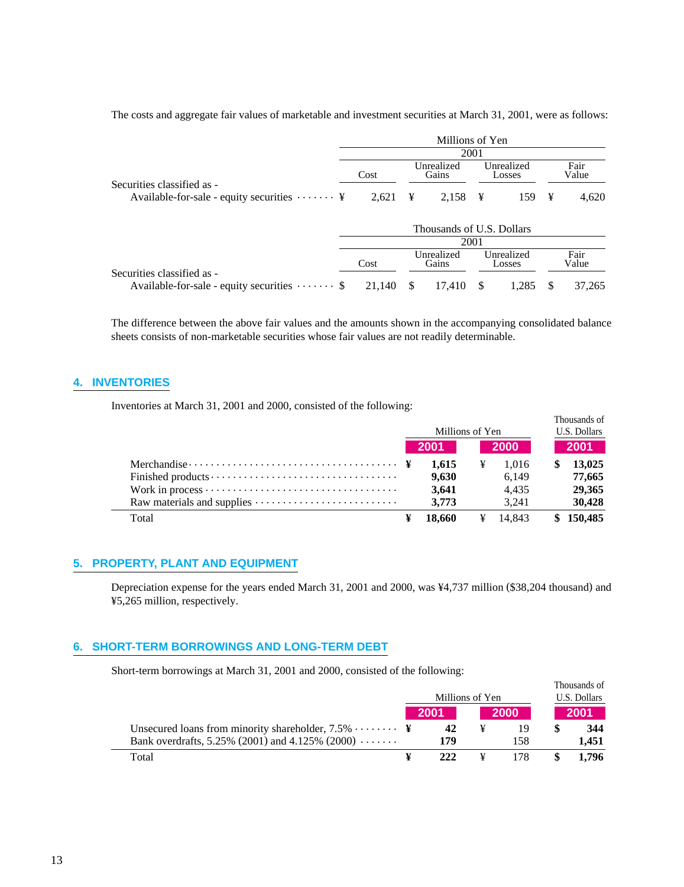|                                                                          |        |                     | Millions of Yen           | 2001                 |                      |               |               |
|--------------------------------------------------------------------------|--------|---------------------|---------------------------|----------------------|----------------------|---------------|---------------|
| Securities classified as -                                               | Cost   | Unrealized<br>Gains |                           | Unrealized<br>Losses |                      | Fair<br>Value |               |
| Available-for-sale - equity securities $\cdots \cdots$ ¥                 | 2,621  | ¥                   | 2,158                     | $\mathbf{\Psi}$      | 159                  | ¥             | 4,620         |
|                                                                          |        |                     | Thousands of U.S. Dollars |                      |                      |               |               |
|                                                                          |        |                     |                           | 2001                 |                      |               |               |
|                                                                          | Cost   |                     | Unrealized<br>Gains       |                      | Unrealized<br>Losses |               | Fair<br>Value |
| Securities classified as -<br>Available-for-sale - equity securities  \$ | 21,140 | -S                  | 17.410                    | -S                   | 1,285                | S             | 37,265        |

The costs and aggregate fair values of marketable and investment securities at March 31, 2001, were as follows:

The difference between the above fair values and the amounts shown in the accompanying consolidated balance sheets consists of non-marketable securities whose fair values are not readily determinable.

#### **4. INVENTORIES**

Inventories at March 31, 2001 and 2000, consisted of the following:

|                                                                                   |   | Millions of Yen | Thousands of<br>U.S. Dollars |             |  |           |
|-----------------------------------------------------------------------------------|---|-----------------|------------------------------|-------------|--|-----------|
|                                                                                   |   | -2001           |                              | <b>2000</b> |  | 2001      |
| Merchandise $\dots \dots \dots \dots \dots \dots \dots \dots \dots \dots \dots \$ |   | 1.615           | ¥                            | 1.016       |  | 13,025    |
|                                                                                   |   | 9.630           |                              | 6.149       |  | 77,665    |
|                                                                                   |   | 3.641           |                              | 4.435       |  | 29.365    |
|                                                                                   |   | 3.773           |                              | 3.241       |  | 30,428    |
| Total                                                                             | ¥ | 18,660          | ¥                            | 14.843      |  | \$150,485 |

#### **5. PROPERTY, PLANT AND EQUIPMENT**

Depreciation expense for the years ended March 31, 2001 and 2000, was ¥4,737 million (\$38,204 thousand) and ¥5,265 million, respectively.

#### **6. SHORT-TERM BORROWINGS AND LONG-TERM DEBT**

Short-term borrowings at March 31, 2001 and 2000, consisted of the following:

|                                                                    |  | Millions of Yen | Thousands of<br>U.S. Dollars |       |
|--------------------------------------------------------------------|--|-----------------|------------------------------|-------|
|                                                                    |  | 2001            | 2000                         | 2001  |
| Unsecured loans from minority shareholder, $7.5\% \cdots \cdots$ ¥ |  | 42              | 19                           | 344   |
| Bank overdrafts, 5.25% (2001) and 4.125% (2000) $\dots \dots$      |  | 179             | 158                          | 1.451 |
| Total                                                              |  | 222             | 178                          | 1.796 |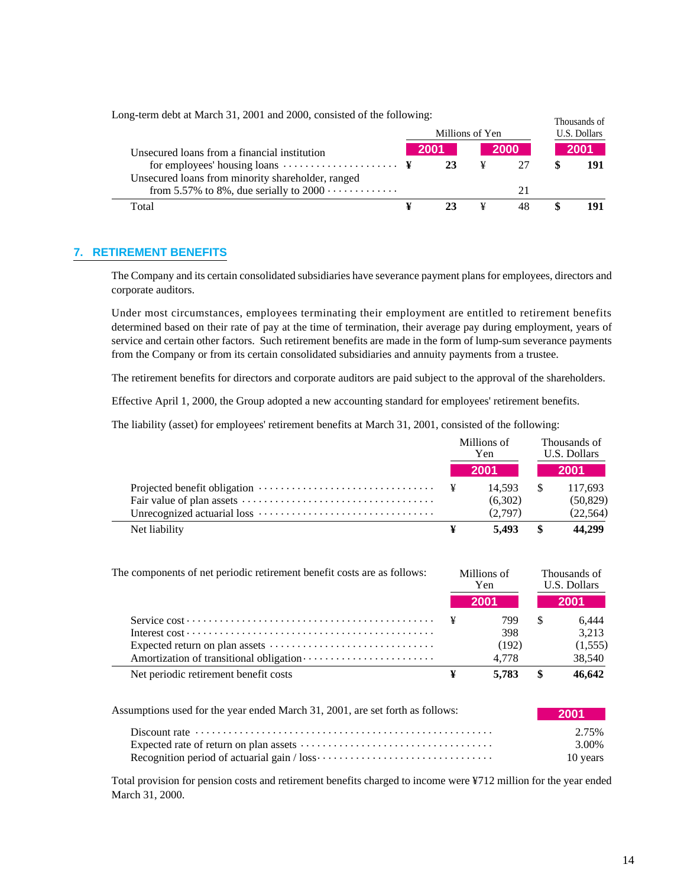| Long-term debt at March 31, 2001 and 2000, consisted of the following: |  |                 |   |              | Thousands of |
|------------------------------------------------------------------------|--|-----------------|---|--------------|--------------|
|                                                                        |  | Millions of Yen |   | U.S. Dollars |              |
| Unsecured loans from a financial institution                           |  | 2001            |   | <b>2000</b>  | 2001         |
| for employees' housing loans $\dots \dots \dots \dots \dots \dots$     |  | 23              | ¥ |              | 191          |
| Unsecured loans from minority shareholder, ranged                      |  |                 |   |              |              |
| from 5.57% to 8%, due serially to $2000 \cdots \cdots \cdots$          |  |                 |   | 21           |              |
| Total                                                                  |  |                 |   | 48           |              |

#### **7. RETIREMENT BENEFITS**

The Company and its certain consolidated subsidiaries have severance payment plans for employees, directors and corporate auditors.

Under most circumstances, employees terminating their employment are entitled to retirement benefits determined based on their rate of pay at the time of termination, their average pay during employment, years of service and certain other factors. Such retirement benefits are made in the form of lump-sum severance payments from the Company or from its certain consolidated subsidiaries and annuity payments from a trustee.

The retirement benefits for directors and corporate auditors are paid subject to the approval of the shareholders.

Effective April 1, 2000, the Group adopted a new accounting standard for employees' retirement benefits.

The liability (asset) for employees' retirement benefits at March 31, 2001, consisted of the following:

|                                                                                      | Millions of<br>Yen. |     | Thousands of<br>U.S. Dollars |
|--------------------------------------------------------------------------------------|---------------------|-----|------------------------------|
|                                                                                      | 2001                |     | <b>2001</b>                  |
| Projected benefit obligation $\dots \dots \dots \dots \dots \dots \dots \dots \dots$ | 14.593              | - S | 117,693                      |
|                                                                                      | (6,302)             |     | (50, 829)                    |
|                                                                                      | (2.797)             |     | (22, 564)                    |
| Net liability                                                                        | 5.493               | \$. | 44,299                       |

| The components of net periodic retirement benefit costs are as follows:                |   | Millions of<br>Yen |     | Thousands of<br>U.S. Dollars |
|----------------------------------------------------------------------------------------|---|--------------------|-----|------------------------------|
|                                                                                        |   | 2001               |     | 2001                         |
|                                                                                        |   | 799                | \$. | 6.444                        |
|                                                                                        |   | 398                |     | 3.213                        |
| Expected return on plan assets $\dots \dots \dots \dots \dots \dots \dots \dots \dots$ |   | (192)              |     | (1,555)                      |
|                                                                                        |   | 4.778              |     | 38,540                       |
| Net periodic retirement benefit costs                                                  | ¥ | 5.783              | -SS | 46,642                       |

| Assumptions used for the year ended March 31, 2001, are set forth as follows:                                | 2001     |
|--------------------------------------------------------------------------------------------------------------|----------|
|                                                                                                              | 2.75%    |
|                                                                                                              | 3.00%    |
| Recognition period of actuarial gain $/$ loss $\cdots$ $\cdots$ $\cdots$ $\cdots$ $\cdots$ $\cdots$ $\cdots$ | 10 years |

Total provision for pension costs and retirement benefits charged to income were ¥712 million for the year ended March 31, 2000.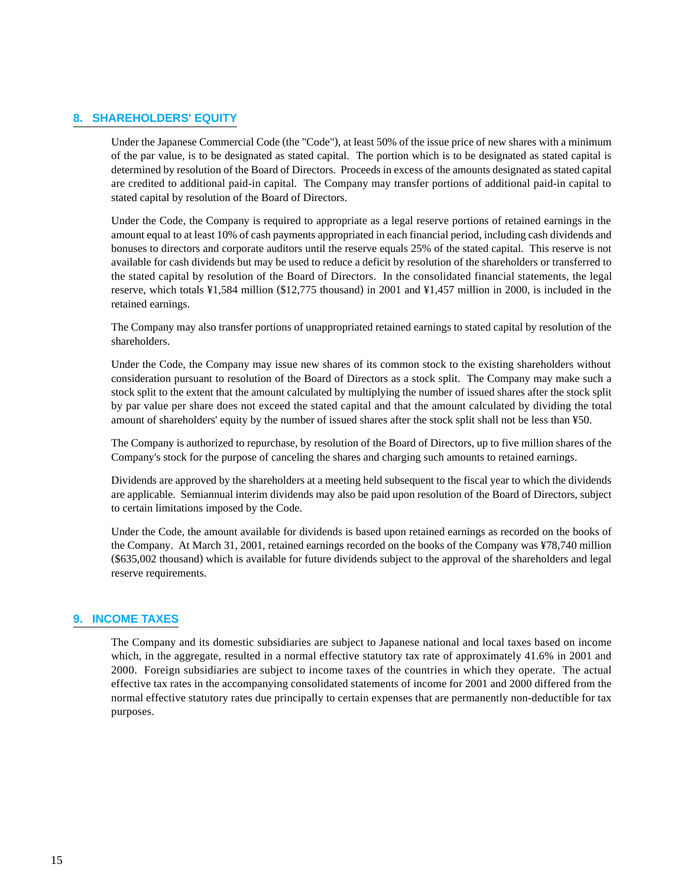#### **8. SHAREHOLDERS' EQUITY**

Under the Japanese Commercial Code (the "Code"), at least 50% of the issue price of new shares with a minimum of the par value, is to be designated as stated capital. The portion which is to be designated as stated capital is determined by resolution of the Board of Directors. Proceeds in excess of the amounts designated as stated capital are credited to additional paid-in capital. The Company may transfer portions of additional paid-in capital to stated capital by resolution of the Board of Directors.

Under the Code, the Company is required to appropriate as a legal reserve portions of retained earnings in the amount equal to at least 10% of cash payments appropriated in each financial period, including cash dividends and bonuses to directors and corporate auditors until the reserve equals 25% of the stated capital. This reserve is not available for cash dividends but may be used to reduce a deficit by resolution of the shareholders or transferred to the stated capital by resolution of the Board of Directors. In the consolidated financial statements, the legal reserve, which totals ¥1,584 million (\$12,775 thousand) in 2001 and ¥1,457 million in 2000, is included in the retained earnings.

The Company may also transfer portions of unappropriated retained earnings to stated capital by resolution of the shareholders.

Under the Code, the Company may issue new shares of its common stock to the existing shareholders without consideration pursuant to resolution of the Board of Directors as a stock split. The Company may make such a stock split to the extent that the amount calculated by multiplying the number of issued shares after the stock split by par value per share does not exceed the stated capital and that the amount calculated by dividing the total amount of shareholders' equity by the number of issued shares after the stock split shall not be less than ¥50.

The Company is authorized to repurchase, by resolution of the Board of Directors, up to five million shares of the Company's stock for the purpose of canceling the shares and charging such amounts to retained earnings.

Dividends are approved by the shareholders at a meeting held subsequent to the fiscal year to which the dividends are applicable. Semiannual interim dividends may also be paid upon resolution of the Board of Directors, subject to certain limitations imposed by the Code.

Under the Code, the amount available for dividends is based upon retained earnings as recorded on the books of the Company. At March 31, 2001, retained earnings recorded on the books of the Company was ¥78,740 million (\$635,002 thousand) which is available for future dividends subject to the approval of the shareholders and legal reserve requirements.

#### **9. INCOME TAXES**

The Company and its domestic subsidiaries are subject to Japanese national and local taxes based on income which, in the aggregate, resulted in a normal effective statutory tax rate of approximately 41.6% in 2001 and 2000. Foreign subsidiaries are subject to income taxes of the countries in which they operate. The actual effective tax rates in the accompanying consolidated statements of income for 2001 and 2000 differed from the normal effective statutory rates due principally to certain expenses that are permanently non-deductible for tax purposes.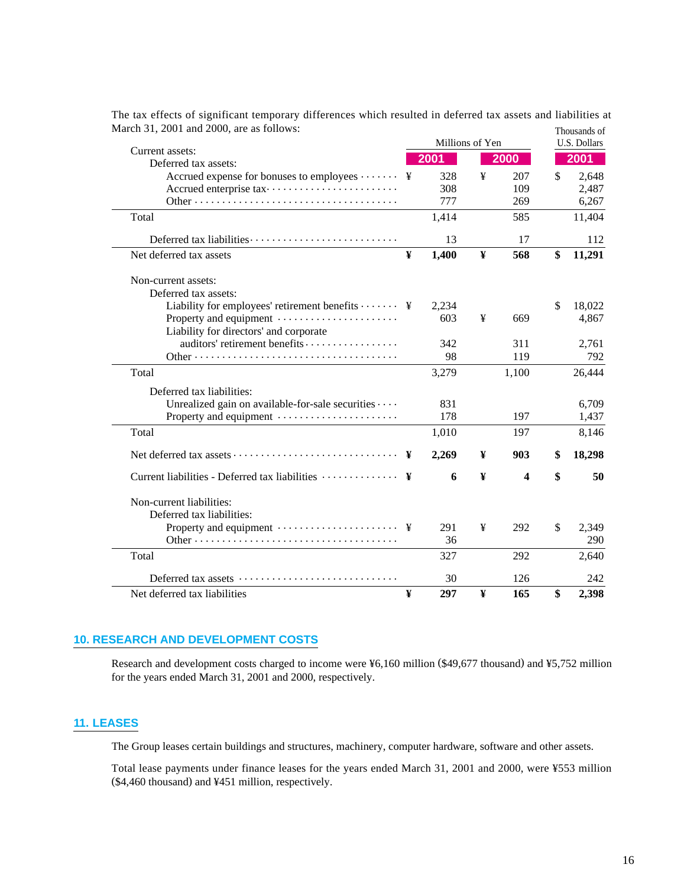|                                                                                    |   | Millions of Yen |   |                         | тноизания от<br>U.S. Dollars |
|------------------------------------------------------------------------------------|---|-----------------|---|-------------------------|------------------------------|
| Current assets:                                                                    |   | 2001            |   | 2000                    | 2001                         |
| Deferred tax assets:<br>Accrued expense for bonuses to employees $\cdots \cdots$ ¥ |   | 328             | ¥ | 207                     | \$<br>2,648                  |
|                                                                                    |   | 308             |   | 109                     | 2,487                        |
|                                                                                    |   | 777             |   | 269                     | 6,267                        |
| Total                                                                              |   | 1,414           |   | 585                     | 11,404                       |
| Deferred tax liabilities                                                           |   | 13              |   | 17                      | 112                          |
| Net deferred tax assets                                                            | ¥ | 1,400           | ¥ | 568                     | \$<br>11,291                 |
| Non-current assets:                                                                |   |                 |   |                         |                              |
| Deferred tax assets:                                                               |   |                 |   |                         |                              |
| Liability for employees' retirement benefits $\cdots$ $\cdots$ ¥                   |   | 2,234           |   |                         | \$<br>18,022                 |
| Property and equipment<br>Liability for directors' and corporate                   |   | 603             | ¥ | 669                     | 4,867                        |
| auditors' retirement benefits                                                      |   | 342             |   | 311                     | 2,761                        |
|                                                                                    |   | 98              |   | 119                     | 792                          |
| Total                                                                              |   | 3,279           |   | 1,100                   | 26,444                       |
| Deferred tax liabilities:                                                          |   |                 |   |                         |                              |
| Unrealized gain on available-for-sale securities                                   |   | 831             |   |                         | 6,709                        |
| Property and equipment                                                             |   | 178             |   | 197                     | 1,437                        |
| Total                                                                              |   | 1,010           |   | 197                     | 8,146                        |
|                                                                                    |   | 2,269           | ¥ | 903                     | \$<br>18,298                 |
|                                                                                    |   | 6               | ¥ | $\overline{\mathbf{4}}$ | \$<br>50                     |
| Non-current liabilities:                                                           |   |                 |   |                         |                              |
| Deferred tax liabilities:                                                          |   |                 |   |                         |                              |
|                                                                                    |   | 291             | ¥ | 292                     | \$<br>2.349                  |
|                                                                                    |   | 36              |   |                         | 290                          |
| Total                                                                              |   | 327             |   | 292                     | 2,640                        |
| Deferred tax assets                                                                |   | 30              |   | 126                     | 242                          |
| Net deferred tax liabilities                                                       | ¥ | 297             | ¥ | 165                     | \$<br>2,398                  |

The tax effects of significant temporary differences which resulted in deferred tax assets and liabilities at March 31, 2001 and 2000, are as follows: Thousands of

#### **10. RESEARCH AND DEVELOPMENT COSTS**

Research and development costs charged to income were ¥6,160 million (\$49,677 thousand) and ¥5,752 million for the years ended March 31, 2001 and 2000, respectively.

#### **11. LEASES**

The Group leases certain buildings and structures, machinery, computer hardware, software and other assets.

Total lease payments under finance leases for the years ended March 31, 2001 and 2000, were ¥553 million (\$4,460 thousand) and ¥451 million, respectively.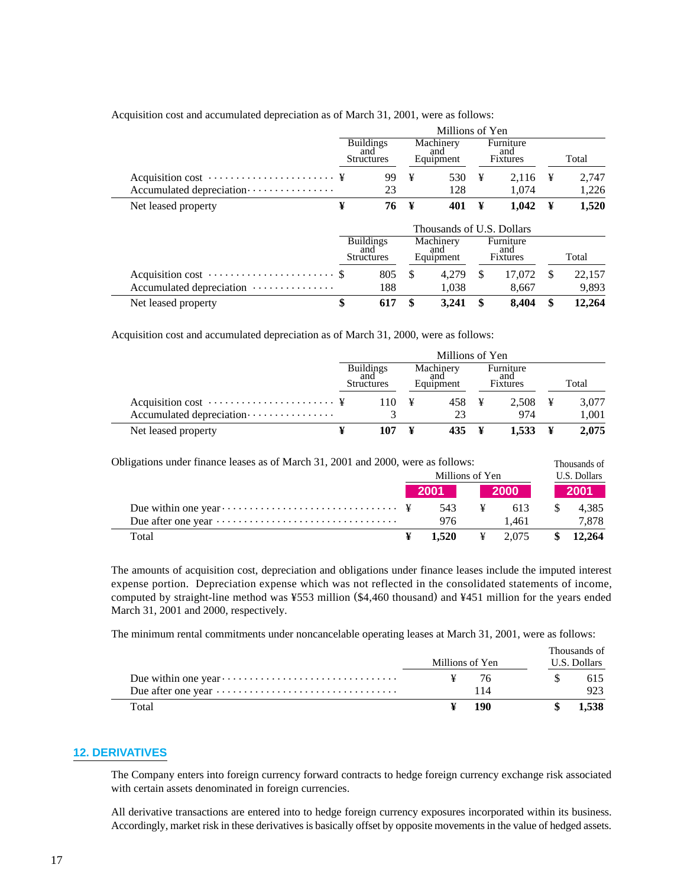|                                                              |                           | Millions of Yen                              |     |                               |    |                                     |    |                 |  |  |
|--------------------------------------------------------------|---------------------------|----------------------------------------------|-----|-------------------------------|----|-------------------------------------|----|-----------------|--|--|
|                                                              |                           | <b>Buildings</b><br>and<br><b>Structures</b> |     | Machinery<br>and<br>Equipment |    | Furniture<br>and<br>Fixtures        |    | Total           |  |  |
| Acquisition cost $\dots \dots \dots \dots \dots \dots \dots$ |                           | 99                                           | ¥   | 530                           | ¥  | 2.116                               | ¥  | 2,747           |  |  |
| Accumulated depreciation                                     |                           | 23                                           |     | 128                           |    | 1.074                               |    | 1,226           |  |  |
| Net leased property                                          | ¥                         | 76                                           | ¥   | 401                           | ¥  | 1,042                               | ¥  | 1,520           |  |  |
|                                                              | Thousands of U.S. Dollars |                                              |     |                               |    |                                     |    |                 |  |  |
|                                                              |                           | <b>Buildings</b><br>and<br><b>Structures</b> |     | Machinery<br>and<br>Equipment |    | Furniture<br>and<br><b>Fixtures</b> |    | Total           |  |  |
| Accumulated depreciation                                     |                           | 805<br>188                                   | \$. | 4.279<br>1.038                | \$ | 17.072<br>8.667                     | S  | 22,157<br>9,893 |  |  |
| Net leased property                                          | \$                        | 617                                          | \$  | 3.241                         | \$ | 8.404                               | \$ | 12,264          |  |  |

Acquisition cost and accumulated depreciation as of March 31, 2001, were as follows:

Acquisition cost and accumulated depreciation as of March 31, 2000, were as follows:

|                                                              | <b>Buildings</b><br>and<br><b>Structures</b> | Machinery<br>and<br>Equipment | Furniture<br>and<br><b>Fixtures</b> | Total |
|--------------------------------------------------------------|----------------------------------------------|-------------------------------|-------------------------------------|-------|
| Acquisition cost $\dots \dots \dots \dots \dots \dots \dots$ | 110                                          | 458 ¥<br>¥                    | $2,508$ ¥                           | 3.077 |
| Accumulated depreciation                                     |                                              | 23                            | 974                                 | 1.001 |
| Net leased property                                          |                                              | 435 ¥                         | 1.533                               | 2,075 |

| Obligations under finance leases as of March 31, 2001 and 2000, were as follows: |              | Millions of Yen |   |                     | Thousands of<br>U.S. Dollars |  |
|----------------------------------------------------------------------------------|--------------|-----------------|---|---------------------|------------------------------|--|
|                                                                                  |              | 2001<br>- 2000  |   |                     | 2001                         |  |
|                                                                                  |              | 543             | ¥ | 613                 | 4.385                        |  |
|                                                                                  |              | 976             |   | 1.461               | 7,878                        |  |
| Total                                                                            | $\mathbf{Y}$ | 1.520           |   | $\frac{1}{2}$ 2.075 | $\frac{\$}{12.264}$          |  |

The amounts of acquisition cost, depreciation and obligations under finance leases include the imputed interest expense portion. Depreciation expense which was not reflected in the consolidated statements of income, computed by straight-line method was ¥553 million (\$4,460 thousand) and ¥451 million for the years ended March 31, 2001 and 2000, respectively.

The minimum rental commitments under noncancelable operating leases at March 31, 2001, were as follows:

|                                                                                  | Millions of Yen |     | Thousands of<br>U.S. Dollars |
|----------------------------------------------------------------------------------|-----------------|-----|------------------------------|
|                                                                                  |                 | 76. | 615                          |
| Due after one year $\dots \dots \dots \dots \dots \dots \dots \dots \dots \dots$ |                 | 114 |                              |
| Total                                                                            |                 | 190 | 1.538                        |

#### **12. DERIVATIVES**

The Company enters into foreign currency forward contracts to hedge foreign currency exchange risk associated with certain assets denominated in foreign currencies.

All derivative transactions are entered into to hedge foreign currency exposures incorporated within its business. Accordingly, market risk in these derivatives is basically offset by opposite movements in the value of hedged assets.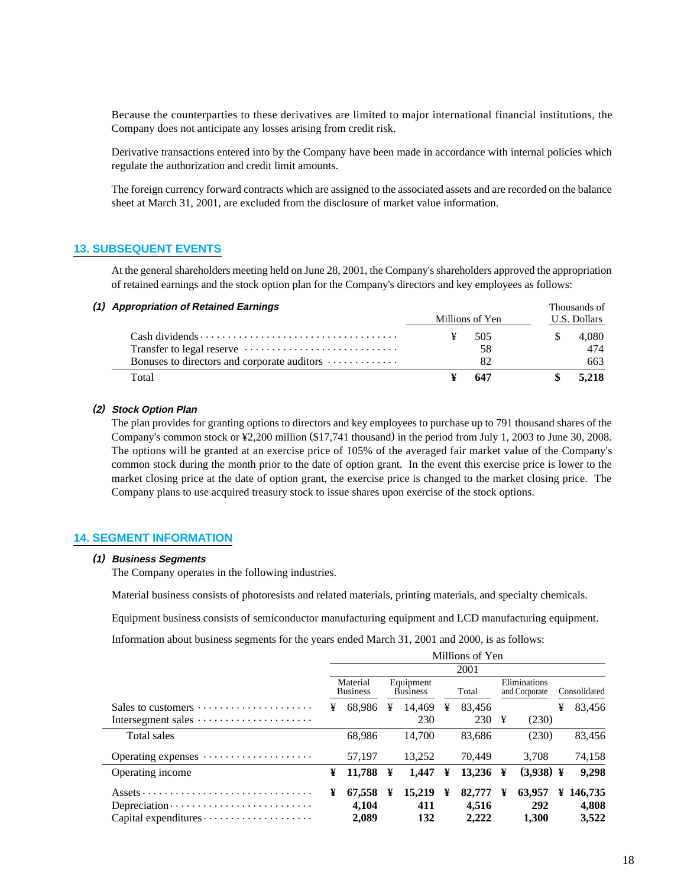Because the counterparties to these derivatives are limited to major international financial institutions, the Company does not anticipate any losses arising from credit risk.

Derivative transactions entered into by the Company have been made in accordance with internal policies which regulate the authorization and credit limit amounts.

The foreign currency forward contracts which are assigned to the associated assets and are recorded on the balance sheet at March 31, 2001, are excluded from the disclosure of market value information.

#### **13. SUBSEQUENT EVENTS**

At the general shareholders meeting held on June 28, 2001, the Company's shareholders approved the appropriation of retained earnings and the stock option plan for the Company's directors and key employees as follows:

| (1) Appropriation of Retained Earnings      |  |                 |              | Thousands of |  |  |
|---------------------------------------------|--|-----------------|--------------|--------------|--|--|
|                                             |  | Millions of Yen | U.S. Dollars |              |  |  |
|                                             |  | 505             |              | 4.080        |  |  |
|                                             |  | 58              |              | 474          |  |  |
| Bonuses to directors and corporate auditors |  | 82              |              | 663          |  |  |
| Total                                       |  | 647             |              | 5.218        |  |  |

#### **(2) Stock Option Plan**

The plan provides for granting options to directors and key employees to purchase up to 791 thousand shares of the Company's common stock or ¥2,200 million (\$17,741 thousand) in the period from July 1, 2003 to June 30, 2008. The options will be granted at an exercise price of 105% of the averaged fair market value of the Company's common stock during the month prior to the date of option grant. In the event this exercise price is lower to the market closing price at the date of option grant, the exercise price is changed to the market closing price. The Company plans to use acquired treasury stock to issue shares upon exercise of the stock options.

#### **14. SEGMENT INFORMATION**

#### **(1) Business Segments**

The Company operates in the following industries.

Material business consists of photoresists and related materials, printing materials, and specialty chemicals.

Equipment business consists of semiconductor manufacturing equipment and LCD manufacturing equipment.

Information about business segments for the years ended March 31, 2001 and 2000, is as follows:

|                                                                 | Millions of Yen |                             |   |                              |   |                          |                               |                        |   |                             |  |
|-----------------------------------------------------------------|-----------------|-----------------------------|---|------------------------------|---|--------------------------|-------------------------------|------------------------|---|-----------------------------|--|
|                                                                 |                 |                             |   |                              |   | 2001                     |                               |                        |   |                             |  |
|                                                                 |                 | Material<br><b>Business</b> |   | Equipment<br><b>Business</b> |   | Total                    | Eliminations<br>and Corporate |                        |   | Consolidated                |  |
| Sales to customers                                              | ¥               | 68.986                      | ¥ | 14,469                       | ¥ | 83,456                   |                               |                        | ¥ | 83,456                      |  |
| Intersegment sales                                              |                 |                             |   | 230                          |   | 230 $\frac{1}{2}$        |                               | (230)                  |   |                             |  |
| <b>Total sales</b>                                              |                 | 68,986                      |   | 14.700                       |   | 83,686                   |                               | (230)                  |   | 83,456                      |  |
| Operating expenses                                              |                 | 57,197                      |   | 13.252                       |   | 70.449                   |                               | 3,708                  |   | 74,158                      |  |
| Operating income                                                | ¥               | 11,788                      | ¥ | 1,447                        | ¥ | 13,236 ¥                 |                               | $(3,938)$ ¥            |   | 9,298                       |  |
| $Depreciation \cdots \cdots \cdots \cdots \cdots \cdots \cdots$ | ¥               | 67,558<br>4,104<br>2,089    | ¥ | 15,219<br>411<br>132         | ¥ | 82,777<br>4.516<br>2.222 | ¥                             | 63,957<br>292<br>1.300 |   | ¥ 146,735<br>4,808<br>3,522 |  |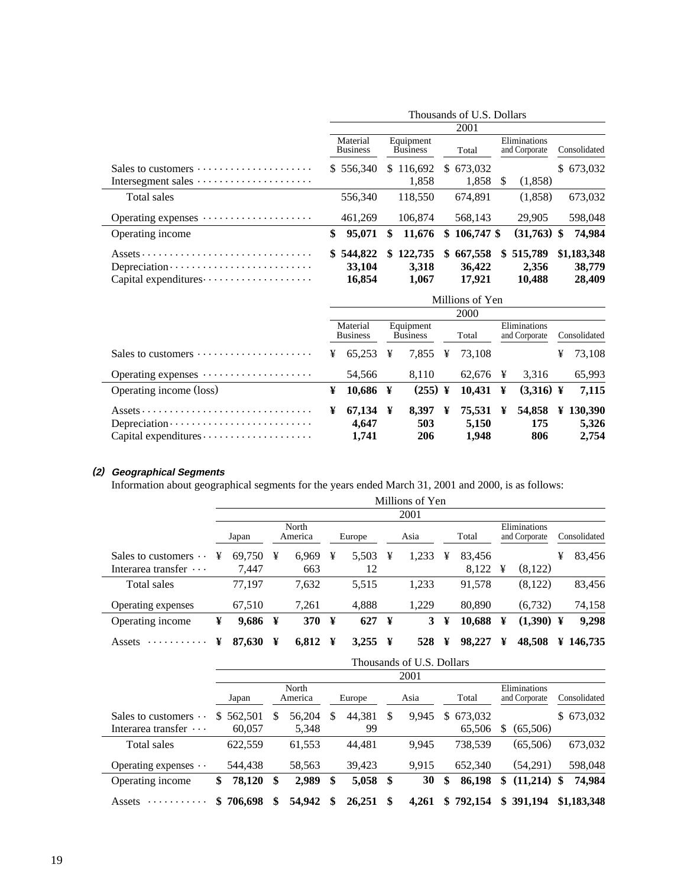|                                                                                                                     | Thousands of U.S. Dollars     |                              |                                   |                                                                 |  |  |  |  |  |  |
|---------------------------------------------------------------------------------------------------------------------|-------------------------------|------------------------------|-----------------------------------|-----------------------------------------------------------------|--|--|--|--|--|--|
|                                                                                                                     | 2001                          |                              |                                   |                                                                 |  |  |  |  |  |  |
|                                                                                                                     | Material<br><b>Business</b>   | Equipment<br><b>Business</b> | Total                             | Eliminations<br>Consolidated<br>and Corporate                   |  |  |  |  |  |  |
|                                                                                                                     | \$556.340                     | \$116,692                    | \$673,032                         | \$673,032                                                       |  |  |  |  |  |  |
| Intersegment sales                                                                                                  |                               | 1.858                        | 1,858<br>\$.                      | (1,858)                                                         |  |  |  |  |  |  |
| Total sales                                                                                                         | 556,340                       | 118.550                      | 674.891                           | (1.858)<br>673,032                                              |  |  |  |  |  |  |
| Operating expenses                                                                                                  | 461,269                       | 106,874                      | 568.143                           | 29,905<br>598,048                                               |  |  |  |  |  |  |
| Operating income                                                                                                    | \$<br>95,071                  | 11,676<br>\$                 | $$106.747$ \$                     | $(31,763)$ \$<br>74,984                                         |  |  |  |  |  |  |
| $\overline{Assets}\cdots\cdots\cdots\cdots\cdots\cdots\cdots\cdots\cdots\cdots\cdots\cdots$<br>Capital expenditures | \$544,822<br>33,104<br>16,854 | \$122,735<br>3,318<br>1,067  | 667,558<br>S.<br>36,422<br>17.921 | \$1,183,348<br>\$515,789<br>2,356<br>38,779<br>10,488<br>28,409 |  |  |  |  |  |  |

|                                                                 | Millions of Yen |                             |   |                              |   |             |   |                               |   |                  |
|-----------------------------------------------------------------|-----------------|-----------------------------|---|------------------------------|---|-------------|---|-------------------------------|---|------------------|
|                                                                 |                 |                             |   |                              |   | <b>2000</b> |   |                               |   |                  |
|                                                                 |                 | Material<br><b>Business</b> |   | Equipment<br><b>Business</b> |   | Total       |   | Eliminations<br>and Corporate |   | Consolidated     |
| Sales to customers                                              | ¥               | 65.253                      | ¥ | 7.855                        | ¥ | 73.108      |   |                               | ¥ | 73,108           |
| Operating expenses                                              |                 | 54,566                      |   | 8.110                        |   | 62.676      | ¥ | 3.316                         |   | 65,993           |
| Operating income (loss)                                         | ¥               | $10,686$ ¥                  |   | $(255)$ ¥                    |   | 10.431      | ¥ | $(3,316)$ ¥                   |   | 7,115            |
|                                                                 | ¥               | 67,134 ¥                    |   | 8.397                        | ¥ | 75.531      | ¥ |                               |   | 54,858 ¥ 130,390 |
| $Depreciation \cdots \cdots \cdots \cdots \cdots \cdots \cdots$ |                 | 4.647                       |   | 503                          |   | 5,150       |   | 175                           |   | 5,326            |
|                                                                 |                 | 1.741                       |   | 206                          |   | 1.948       |   | 806                           |   | 2.754            |

#### **(2) Geographical Segments**

Information about geographical segments for the years ended March 31, 2001 and 2000, is as follows:

|                             |   |           |   |                  |   |                     |   | Millions of Yen |   |        |   |                               |   |                       |
|-----------------------------|---|-----------|---|------------------|---|---------------------|---|-----------------|---|--------|---|-------------------------------|---|-----------------------|
|                             |   |           |   |                  |   |                     |   | 2001            |   |        |   |                               |   |                       |
|                             |   | Japan     |   | North<br>America |   | Europe              |   | Asia            |   | Total  |   | Eliminations<br>and Corporate |   | Consolidated          |
| Sales to customers $\cdots$ | ¥ | 69.750    | ¥ | 6.969            | ¥ | 5.503               | ¥ | 1,233           | ¥ | 83.456 |   |                               | ¥ | 83,456                |
| Interarea transfer $\cdots$ |   | 7.447     |   | 663              |   | 12                  |   |                 |   | 8.122  | ¥ | (8,122)                       |   |                       |
| Total sales                 |   | 77.197    |   | 7,632            |   | 5,515               |   | 1,233           |   | 91.578 |   | (8,122)                       |   | 83,456                |
| Operating expenses          |   | 67,510    |   | 7,261            |   | 4,888               |   | 1.229           |   | 80,890 |   | (6.732)                       |   | 74,158                |
| Operating income            | ¥ | $9,686$ ¥ |   | <b>370</b>       | ¥ | 627                 | ¥ | 3               | ¥ | 10,688 | ¥ | $(1,390)$ ¥                   |   | 9,298                 |
| Assets<br>.                 | ¥ | 87,630    | ¥ | 6,812            | ¥ | 3,255 $\frac{1}{2}$ |   | 528             | ¥ | 98,227 | ¥ | 48,508                        |   | $\frac{1}{2}$ 146.735 |

|                             |               |                  |        |        |            |      | Thousands of U.S. Dollars |       |           |                               |               |              |             |
|-----------------------------|---------------|------------------|--------|--------|------------|------|---------------------------|-------|-----------|-------------------------------|---------------|--------------|-------------|
|                             | 2001          |                  |        |        |            |      |                           |       |           |                               |               |              |             |
|                             | Japan         | North<br>America |        | Europe |            | Asia |                           | Total |           | Eliminations<br>and Corporate |               | Consolidated |             |
| Sales to customers $\cdots$ | 562,501<br>S. | S                | 56.204 | \$     | 44,381     | S    | 9,945                     | \$    | 673.032   |                               |               |              | \$673,032   |
| Interarea transfer $\cdots$ | 60,057        |                  | 5,348  |        | 99         |      |                           |       | 65,506    | \$                            | (65,506)      |              |             |
| Total sales                 | 622,559       |                  | 61,553 |        | 44.481     |      | 9.945                     |       | 738,539   |                               | (65,506)      |              | 673,032     |
| Operating expenses $\cdots$ | 544,438       |                  | 58,563 |        | 39,423     |      | 9,915                     |       | 652,340   |                               | (54,291)      |              | 598,048     |
| Operating income            | 78,120<br>\$  | \$               | 2,989  | \$     | $5,058$ \$ |      | 30                        | \$    | 86,198    | \$                            | $(11,214)$ \$ |              | 74,984      |
| Assets<br>.                 | \$706,698     | S                | 54.942 | S      | 26,251     | - \$ | 4.261                     |       | \$792.154 | \$                            | 391,194       |              | \$1,183,348 |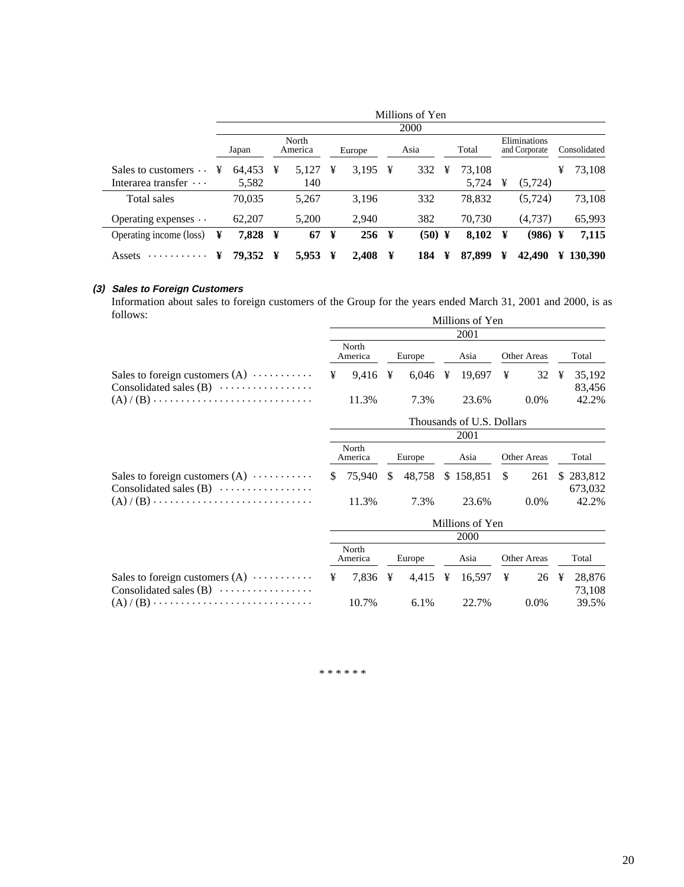|                             | Millions of Yen |         |   |                  |   |         |   |             |   |        |   |                               |   |                       |
|-----------------------------|-----------------|---------|---|------------------|---|---------|---|-------------|---|--------|---|-------------------------------|---|-----------------------|
|                             |                 |         |   |                  |   |         |   | <b>2000</b> |   |        |   |                               |   |                       |
|                             |                 | Japan   |   | North<br>America |   | Europe  |   | Asia        |   | Total  |   | Eliminations<br>and Corporate |   | Consolidated          |
| Sales to customers $\cdots$ | ¥               | 64,453  | ¥ | 5.127            | ¥ | 3,195   | ¥ | 332         | ¥ | 73.108 |   |                               | ¥ | 73,108                |
| Interarea transfer $\cdots$ |                 | 5,582   |   | 140              |   |         |   |             |   | 5,724  | ¥ | (5.724)                       |   |                       |
| Total sales                 |                 | 70,035  |   | 5,267            |   | 3,196   |   | 332         |   | 78,832 |   | (5, 724)                      |   | 73,108                |
| Operating expenses $\cdots$ |                 | 62,207  |   | 5.200            |   | 2.940   |   | 382         |   | 70.730 |   | (4.737)                       |   | 65,993                |
| Operating income (loss)     | ¥               | 7,828 ¥ |   | 67               | ¥ | $256$ ¥ |   | $(50)$ ¥    |   | 8,102  | ¥ | $(986)$ ¥                     |   | 7,115                 |
| .<br>Assets                 | ¥               | 79,352  | ¥ | 5,953            | ¥ | 2,408   | ¥ | 184         | ¥ | 87,899 | ¥ | 42,490                        |   | $\frac{1}{2}$ 130.390 |

#### **(3) Sales to Foreign Customers**

Information about sales to foreign customers of the Group for the years ended March 31, 2001 and 2000, is as follows: Millions of Yen

|                                                                                   | 2001                      |                     |        |                     |      |           |               |             |  |                      |  |  |  |
|-----------------------------------------------------------------------------------|---------------------------|---------------------|--------|---------------------|------|-----------|---------------|-------------|--|----------------------|--|--|--|
|                                                                                   |                           | North<br>America    | Europe |                     | Asia |           | Other Areas   |             |  | Total                |  |  |  |
| Sales to foreign customers $(A) \cdots \cdots \cdots$<br>Consolidated sales $(B)$ | ¥                         | 9,416 $\frac{1}{2}$ |        |                     |      | 19,697    | ¥             | 32 ¥        |  | 35,192<br>83,456     |  |  |  |
|                                                                                   |                           | 11.3%               |        | 7.3%                |      | 23.6%     |               | $0.0\%$     |  | 42.2%                |  |  |  |
|                                                                                   | Thousands of U.S. Dollars |                     |        |                     |      |           |               |             |  |                      |  |  |  |
|                                                                                   | 2001                      |                     |        |                     |      |           |               |             |  |                      |  |  |  |
|                                                                                   |                           | North<br>America    |        | Europe              |      | Asia      | Other Areas   |             |  | Total                |  |  |  |
| Sales to foreign customers $(A) \cdots \cdots \cdots$<br>Consolidated sales $(B)$ | S.                        | 75,940              | S.     | 48,758              |      | \$158,851 | <sup>\$</sup> | 261         |  | \$283,812<br>673,032 |  |  |  |
|                                                                                   |                           | 11.3%               |        | 7.3%                |      | 23.6%     |               | $0.0\%$     |  | 42.2%                |  |  |  |
|                                                                                   | Millions of Yen           |                     |        |                     |      |           |               |             |  |                      |  |  |  |
|                                                                                   | 2000                      |                     |        |                     |      |           |               |             |  |                      |  |  |  |
|                                                                                   | North<br>America          |                     |        | Europe              |      | Asia      |               | Other Areas |  | Total                |  |  |  |
| Sales to foreign customers $(A) \cdots \cdots \cdots$<br>Consolidated sales $(B)$ | ¥                         | 7,836 ¥             |        | 4,415 $\frac{1}{2}$ |      | 16,597    | ¥             | 26 ¥        |  | 28,876<br>73,108     |  |  |  |
|                                                                                   |                           | 10.7%               |        | $6.1\%$             |      | 22.7%     |               | $0.0\%$     |  | 39.5%                |  |  |  |

\* \* \* \* \* \*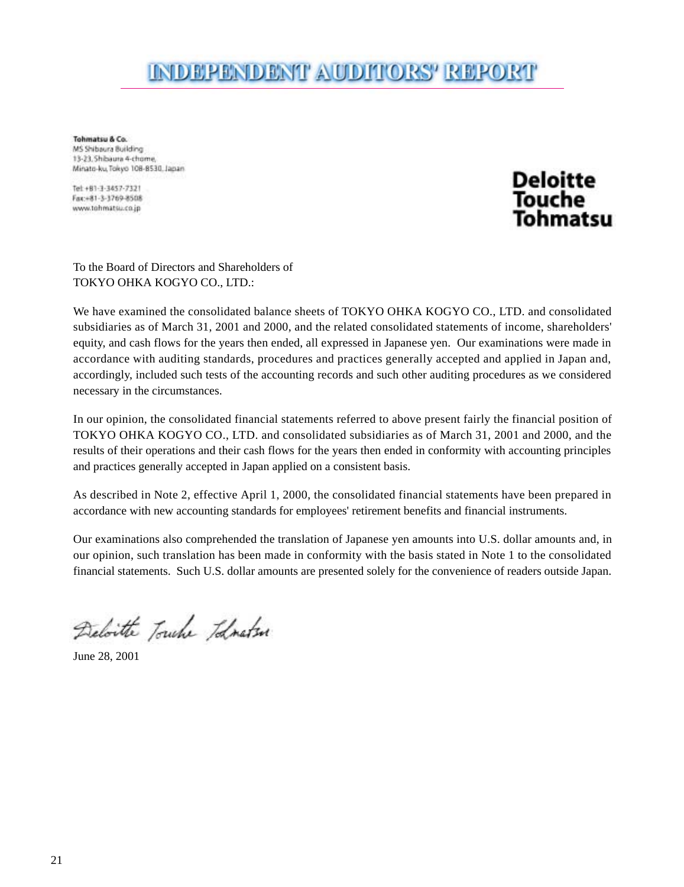### INDEPENDENT AUDITORS' REPORT

Tohmatsu & Co. MS Shihaura Building 13-23. Shibaura 4-chome, Minato-ku, Tokyo 108-8530, Japan

Tel: +81-1-1457-7121 Fax:+81-3-1769-8508 www.tohmatsu.co.jp



To the Board of Directors and Shareholders of TOKYO OHKA KOGYO CO., LTD.:

We have examined the consolidated balance sheets of TOKYO OHKA KOGYO CO., LTD. and consolidated subsidiaries as of March 31, 2001 and 2000, and the related consolidated statements of income, shareholders' equity, and cash flows for the years then ended, all expressed in Japanese yen. Our examinations were made in accordance with auditing standards, procedures and practices generally accepted and applied in Japan and, accordingly, included such tests of the accounting records and such other auditing procedures as we considered necessary in the circumstances.

In our opinion, the consolidated financial statements referred to above present fairly the financial position of TOKYO OHKA KOGYO CO., LTD. and consolidated subsidiaries as of March 31, 2001 and 2000, and the results of their operations and their cash flows for the years then ended in conformity with accounting principles and practices generally accepted in Japan applied on a consistent basis.

As described in Note 2, effective April 1, 2000, the consolidated financial statements have been prepared in accordance with new accounting standards for employees' retirement benefits and financial instruments.

Our examinations also comprehended the translation of Japanese yen amounts into U.S. dollar amounts and, in our opinion, such translation has been made in conformity with the basis stated in Note 1 to the consolidated financial statements. Such U.S. dollar amounts are presented solely for the convenience of readers outside Japan.

Deloitte Touche Todnaten

June 28, 2001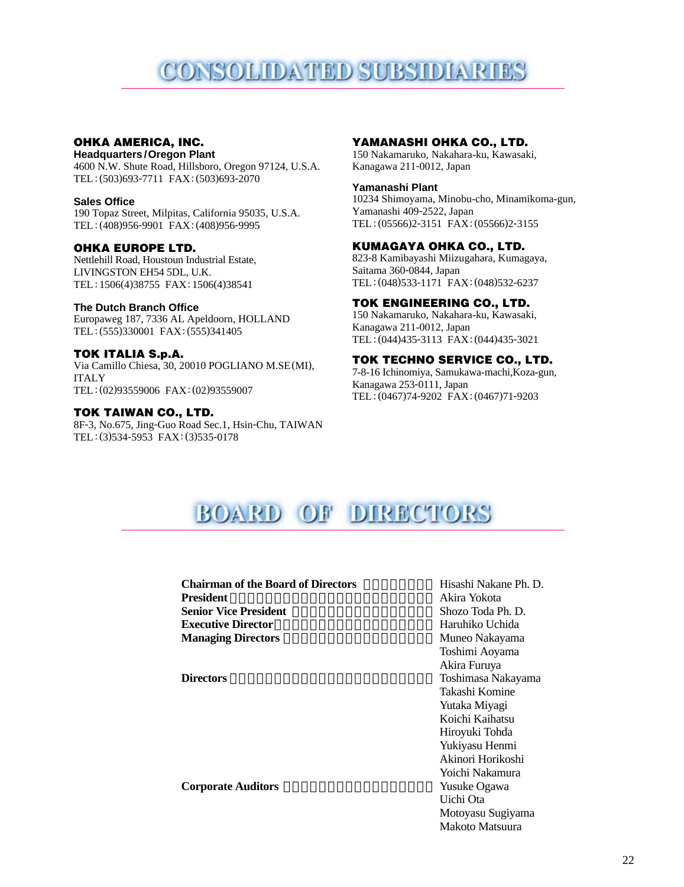## CONSOLIDATED SUBSIDIARIES

#### **OHKA AMERICA, INC.**

**Headquarters /Oregon Plant** 4600 N.W. Shute Road, Hillsboro, Oregon 97124, U.S.A. TEL: (503)693-7711 FAX: (503)693-2070

#### **Sales Office**

190 Topaz Street, Milpitas, California 95035, U.S.A. TEL: (408)956-9901 FAX: (408)956-9995

#### **OHKA EUROPE LTD.**

Nettlehill Road, Houstoun Industrial Estate, LIVINGSTON EH54 5DL, U.K. TEL: 1506(4)38755 FAX: 1506(4)38541

#### **The Dutch Branch Office**

Europaweg 187, 7336 AL Apeldoorn, HOLLAND TEL: (555)330001 FAX: (555)341405

#### **TOK ITALIA S.p.A.**

Via Camillo Chiesa, 30, 20010 POGLIANO M.SE(MI), ITALY TEL: (02)93559006 FAX: (02)93559007

#### **TOK TAIWAN CO., LTD.**

8F-3, No.675, Jing-Guo Road Sec.1, Hsin-Chu, TAIWAN TEL: (3)534-5953 FAX: (3)535-0178

#### **YAMANASHI OHKA CO., LTD.**

150 Nakamaruko, Nakahara-ku, Kawasaki, Kanagawa 211-0012, Japan

#### **Yamanashi Plant**

10234 Shimoyama, Minobu-cho, Minamikoma-gun, Yamanashi 409-2522, Japan TEL:(05566)2-3151 FAX:(05566)2-3155

#### **KUMAGAYA OHKA CO., LTD.**

823-8 Kamibayashi Miizugahara, Kumagaya, Saitama 360-0844, Japan TEL: (048)533-1171 FAX: (048)532-6237

#### **TOK ENGINEERING CO., LTD.**

150 Nakamaruko, Nakahara-ku, Kawasaki, Kanagawa 211-0012, Japan TEL:(044)435-3113 FAX:(044)435-3021

#### **TOK TECHNO SERVICE CO., LTD.**

7-8-16 Ichinomiya, Samukawa-machi,Koza-gun, Kanagawa 253-0111, Japan TEL: (0467)74-9202 FAX: (0467)71-9203

### BOARD OF DIRECTORS

### **Chairman of the Board of Directors** Hisashi Nakane Ph. D. President Akira Yokota **Senior Vice President Executive Director Haruhiko Uchida Managing Directors** Muneo Nakayama **Directors** Toshimasa Nakayama

**Corporate Auditors** 

Akira Yokota<br>Shozo Toda Ph. D. Toshimi Aoyama Akira Furuya Takashi Komine Yutaka Miyagi Koichi Kaihatsu Hiroyuki Tohda Yukiyasu Henmi Akinori Horikoshi Yoichi Nakamura<br>Yusuke Ogawa Uichi Ota Motoyasu Sugiyama Makoto Matsuura